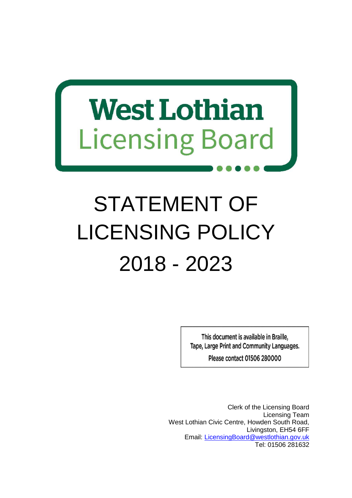# **West Lothian Licensing Board**

## STATEMENT OF LICENSING POLICY 2018 - 2023

This document is available in Braille, Tape, Large Print and Community Languages.

**Please contact 01506 280000** 

Clerk of the Licensing Board Licensing Team West Lothian Civic Centre, Howden South Road, Livingston, EH54 6FF Email: [LicensingBoard@westlothian.gov.uk](mailto:LicensingBoard@westlothian.gov.uk) Tel: 01506 281632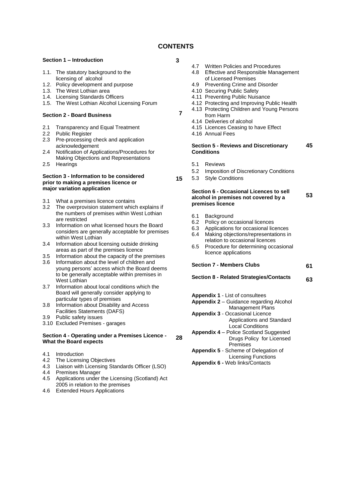#### **CONTENTS**

**3**

**7**

**28**

#### **Section 1 – Introduction**

- 1.1. The statutory background to the licensing of alcohol
- 1.2. Policy development and purpose
- 1.3. The West Lothian area
- 1.4. Licensing Standards Officers
- 1.5. The West Lothian Alcohol Licensing Forum

#### **Section 2 - Board Business**

- 2.1 Transparency and Equal Treatment
- 2.2 Public Register
- 2.3 Pre-processing check and application acknowledgement
- 2.4 Notification of Applications/Procedures for Making Objections and Representations
- 2.5 Hearings

#### **Section 3 - Information to be considered prior to making a premises licence or major variation application**

- 3.1 What a premises licence contains
- 3.2 The overprovision statement which explains if the numbers of premises within West Lothian are restricted
- 3.3 Information on what licensed hours the Board considers are generally acceptable for premises within West Lothian
- 3.4 Information about licensing outside drinking areas as part of the premises licence
- 3.5 Information about the capacity of the premises
- 3.6 Information about the level of children and young persons' access which the Board deems to be generally acceptable within premises in West Lothian
- 3.7 Information about local conditions which the Board will generally consider applying to particular types of premises
- 3.8 Information about Disability and Access Facilities Statements (DAFS)
- 3.9 Public safety issues
- 3.10 Excluded Premises garages

#### **Section 4 - Operating under a Premises Licence - What the Board expects**

- 4.1 Introduction
- 4.2 The Licensing Objectives
- 4.3 Liaison with Licensing Standards Officer (LSO)
- 4.4 Premises Manager
- 4.5 Applications under the Licensing (Scotland) Act 2005 in relation to the premises
- 4.6 Extended Hours Applications
- 
- 4.7 Written Policies and Procedures<br>4.8 Effective and Responsible Mana **Effective and Responsible Management** of Licensed Premises
- 4.9 Preventing Crime and Disorder
- 4.10 Securing Public Safety
- 4.11 Preventing Public Nuisance
- 4.12 Protecting and Improving Public Health
- 4.13 Protecting Children and Young Persons
- from Harm 4.14 Deliveries of alcohol
- 
- 4.15 Licences Ceasing to have Effect
- 4.16 Annual Fees

#### **Section 5 - Reviews and Discretionary Conditions 45**

- 5.1 Reviews
- 5.2 Imposition of Discretionary Conditions
- **15** 5.3 Style Conditions

#### **Section 6 - Occasional Licences to sell alcohol in premises not covered by a premises licence**

- 6.1 Background
- 6.2 Policy on occasional licences
- 6.3 Applications for occasional licences
- 6.4 Making objections/representations in relation to occasional licences
- 6.5 Procedure for determining occasional licence applications

**Section 7 - Members Clubs**

**61**

**53**

**Section 8 - Related Strategies/Contacts 63**

- **Appendix 1** List of consultees
- **Appendix 2** Guidance regarding Alcohol Management Plans
- **Appendix 3** Occasional Licence Applications and Standard Local Conditions
- **Appendix 4** Police Scotland Suggested Drugs Policy for Licensed Premises
- **Appendix 5**  Scheme of Delegation of Licensing Functions
- **Appendix 6 -** Web links/Contacts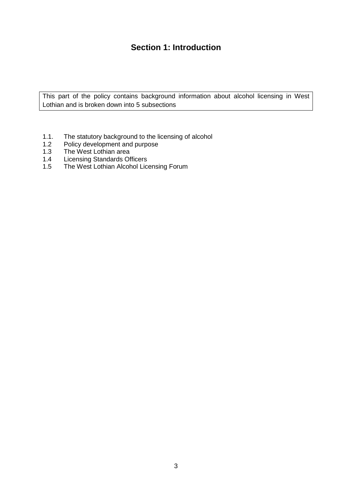## **Section 1: Introduction**

This part of the policy contains background information about alcohol licensing in West Lothian and is broken down into 5 subsections

- 1.1. The statutory background to the licensing of alcohol<br>1.2 Policy development and purpose
- Policy development and purpose
- 1.3 The West Lothian area<br>1.4 Licensing Standards Of
- 1.4 Licensing Standards Officers<br>1.5 The West Lothian Alcohol Lic
- The West Lothian Alcohol Licensing Forum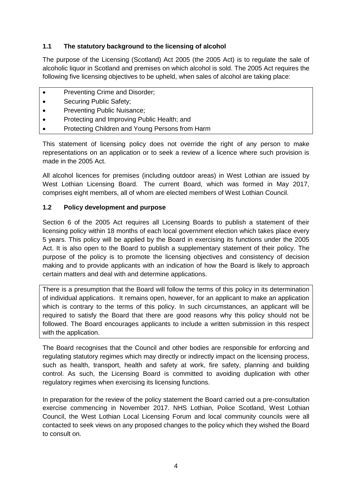#### **1.1 The statutory background to the licensing of alcohol**

The purpose of the Licensing (Scotland) Act 2005 (the 2005 Act) is to regulate the sale of alcoholic liquor in Scotland and premises on which alcohol is sold. The 2005 Act requires the following five licensing objectives to be upheld, when sales of alcohol are taking place:

- Preventing Crime and Disorder;
- Securing Public Safety;
- Preventing Public Nuisance;
- Protecting and Improving Public Health; and
- Protecting Children and Young Persons from Harm

This statement of licensing policy does not override the right of any person to make representations on an application or to seek a review of a licence where such provision is made in the 2005 Act.

All alcohol licences for premises (including outdoor areas) in West Lothian are issued by West Lothian Licensing Board. The current Board, which was formed in May 2017, comprises eight members, all of whom are elected members of West Lothian Council.

#### **1.2 Policy development and purpose**

Section 6 of the 2005 Act requires all Licensing Boards to publish a statement of their licensing policy within 18 months of each local government election which takes place every 5 years. This policy will be applied by the Board in exercising its functions under the 2005 Act. It is also open to the Board to publish a supplementary statement of their policy. The purpose of the policy is to promote the licensing objectives and consistency of decision making and to provide applicants with an indication of how the Board is likely to approach certain matters and deal with and determine applications.

There is a presumption that the Board will follow the terms of this policy in its determination of individual applications. It remains open, however, for an applicant to make an application which is contrary to the terms of this policy. In such circumstances, an applicant will be required to satisfy the Board that there are good reasons why this policy should not be followed. The Board encourages applicants to include a written submission in this respect with the application.

The Board recognises that the Council and other bodies are responsible for enforcing and regulating statutory regimes which may directly or indirectly impact on the licensing process, such as health, transport, health and safety at work, fire safety, planning and building control. As such, the Licensing Board is committed to avoiding duplication with other regulatory regimes when exercising its licensing functions.

In preparation for the review of the policy statement the Board carried out a pre-consultation exercise commencing in November 2017. NHS Lothian, Police Scotland, West Lothian Council, the West Lothian Local Licensing Forum and local community councils were all contacted to seek views on any proposed changes to the policy which they wished the Board to consult on.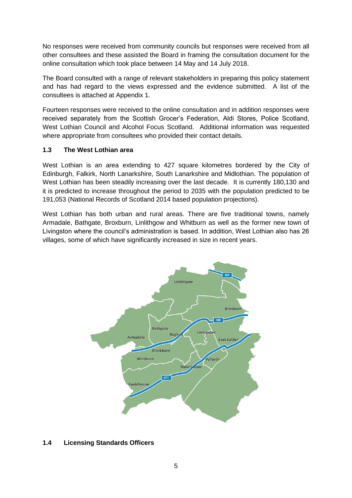No responses were received from community councils but responses were received from all other consultees and these assisted the Board in framing the consultation document for the online consultation which took place between 14 May and 14 July 2018.

The Board consulted with a range of relevant stakeholders in preparing this policy statement and has had regard to the views expressed and the evidence submitted. A list of the consultees is attached at Appendix 1.

Fourteen responses were received to the online consultation and in addition responses were received separately from the Scottish Grocer's Federation, Aldi Stores, Police Scotland, West Lothian Council and Alcohol Focus Scotland. Additional information was requested where appropriate from consultees who provided their contact details.

#### **1.3 The West Lothian area**

West Lothian is an area extending to 427 square kilometres bordered by the City of Edinburgh, Falkirk, North Lanarkshire, South Lanarkshire and Midlothian. The population of West Lothian has been steadily increasing over the last decade. It is currently 180,130 and it is predicted to increase throughout the period to 2035 with the population predicted to be 191,053 (National Records of Scotland 2014 based population projections).

West Lothian has both urban and rural areas. There are five traditional towns, namely Armadale, Bathgate, Broxburn, Linlithgow and Whitburn as well as the former new town of Livingston where the council's administration is based. In addition, West Lothian also has 26 villages, some of which have significantly increased in size in recent years.



#### **1.4 Licensing Standards Officers**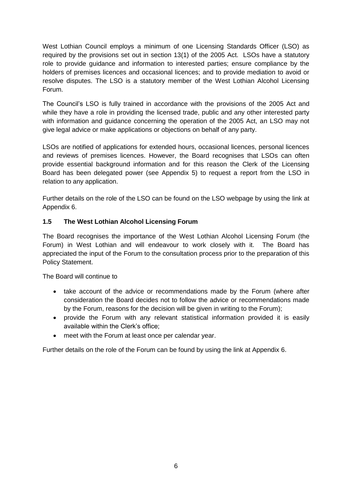West Lothian Council employs a minimum of one Licensing Standards Officer (LSO) as required by the provisions set out in section 13(1) of the 2005 Act. LSOs have a statutory role to provide guidance and information to interested parties; ensure compliance by the holders of premises licences and occasional licences; and to provide mediation to avoid or resolve disputes. The LSO is a statutory member of the West Lothian Alcohol Licensing Forum.

The Council's LSO is fully trained in accordance with the provisions of the 2005 Act and while they have a role in providing the licensed trade, public and any other interested party with information and guidance concerning the operation of the 2005 Act, an LSO may not give legal advice or make applications or objections on behalf of any party.

LSOs are notified of applications for extended hours, occasional licences, personal licences and reviews of premises licences. However, the Board recognises that LSOs can often provide essential background information and for this reason the Clerk of the Licensing Board has been delegated power (see Appendix 5) to request a report from the LSO in relation to any application.

Further details on the role of the LSO can be found on the LSO webpage by using the link at Appendix 6.

#### **1.5 The West Lothian Alcohol Licensing Forum**

The Board recognises the importance of the West Lothian Alcohol Licensing Forum (the Forum) in West Lothian and will endeavour to work closely with it. The Board has appreciated the input of the Forum to the consultation process prior to the preparation of this Policy Statement.

The Board will continue to

- take account of the advice or recommendations made by the Forum (where after consideration the Board decides not to follow the advice or recommendations made by the Forum, reasons for the decision will be given in writing to the Forum);
- provide the Forum with any relevant statistical information provided it is easily available within the Clerk's office;
- meet with the Forum at least once per calendar year.

Further details on the role of the Forum can be found by using the link at Appendix 6.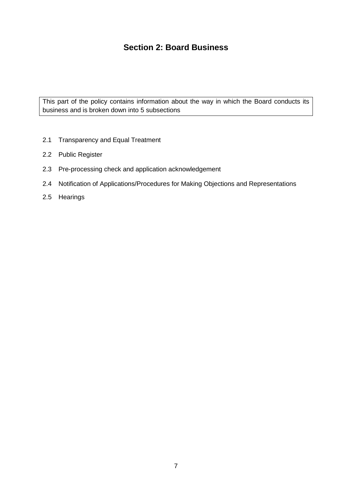## **Section 2: Board Business**

This part of the policy contains information about the way in which the Board conducts its business and is broken down into 5 subsections

- 2.1 Transparency and Equal Treatment
- 2.2 Public Register
- 2.3 Pre-processing check and application acknowledgement
- 2.4 Notification of Applications/Procedures for Making Objections and Representations
- 2.5 Hearings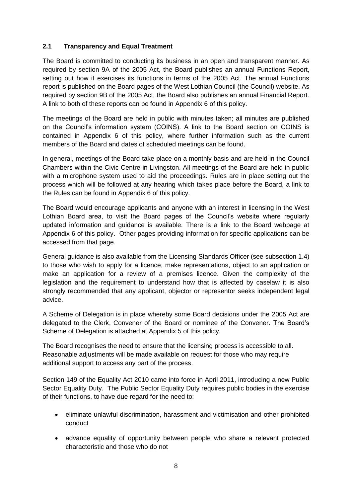#### **2.1 Transparency and Equal Treatment**

The Board is committed to conducting its business in an open and transparent manner. As required by section 9A of the 2005 Act, the Board publishes an annual Functions Report, setting out how it exercises its functions in terms of the 2005 Act. The annual Functions report is published on the Board pages of the West Lothian Council (the Council) website. As required by section 9B of the 2005 Act, the Board also publishes an annual Financial Report. A link to both of these reports can be found in Appendix 6 of this policy.

The meetings of the Board are held in public with minutes taken; all minutes are published on the Council's information system (COINS). A link to the Board section on COINS is contained in Appendix 6 of this policy, where further information such as the current members of the Board and dates of scheduled meetings can be found.

In general, meetings of the Board take place on a monthly basis and are held in the Council Chambers within the Civic Centre in Livingston. All meetings of the Board are held in public with a microphone system used to aid the proceedings. Rules are in place setting out the process which will be followed at any hearing which takes place before the Board, a link to the Rules can be found in Appendix 6 of this policy.

The Board would encourage applicants and anyone with an interest in licensing in the West Lothian Board area, to visit the Board pages of the Council's website where regularly updated information and guidance is available. There is a link to the Board webpage at Appendix 6 of this policy. Other pages providing information for specific applications can be accessed from that page.

General guidance is also available from the Licensing Standards Officer (see subsection 1.4) to those who wish to apply for a licence, make representations, object to an application or make an application for a review of a premises licence. Given the complexity of the legislation and the requirement to understand how that is affected by caselaw it is also strongly recommended that any applicant, objector or representor seeks independent legal advice.

A Scheme of Delegation is in place whereby some Board decisions under the 2005 Act are delegated to the Clerk, Convener of the Board or nominee of the Convener. The Board's Scheme of Delegation is attached at Appendix 5 of this policy.

The Board recognises the need to ensure that the licensing process is accessible to all. Reasonable adjustments will be made available on request for those who may require additional support to access any part of the process.

Section 149 of the Equality Act 2010 came into force in April 2011, introducing a new Public Sector Equality Duty. The Public Sector Equality Duty requires public bodies in the exercise of their functions, to have due regard for the need to:

- eliminate unlawful discrimination, harassment and victimisation and other prohibited conduct
- advance equality of opportunity between people who share a relevant protected characteristic and those who do not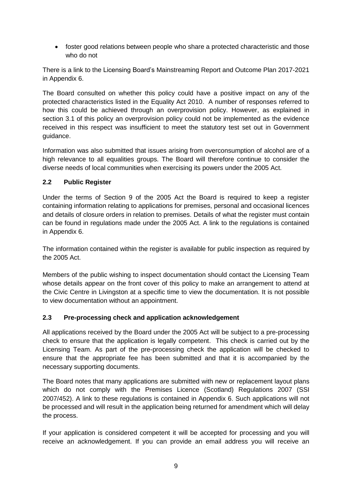foster good relations between people who share a protected characteristic and those who do not

There is a link to the Licensing Board's Mainstreaming Report and Outcome Plan 2017-2021 in Appendix 6.

The Board consulted on whether this policy could have a positive impact on any of the protected characteristics listed in the Equality Act 2010. A number of responses referred to how this could be achieved through an overprovision policy. However, as explained in section 3.1 of this policy an overprovision policy could not be implemented as the evidence received in this respect was insufficient to meet the statutory test set out in Government guidance.

Information was also submitted that issues arising from overconsumption of alcohol are of a high relevance to all equalities groups. The Board will therefore continue to consider the diverse needs of local communities when exercising its powers under the 2005 Act.

#### **2.2 Public Register**

Under the terms of Section 9 of the 2005 Act the Board is required to keep a register containing information relating to applications for premises, personal and occasional licences and details of closure orders in relation to premises. Details of what the register must contain can be found in regulations made under the 2005 Act. A link to the regulations is contained in Appendix 6.

The information contained within the register is available for public inspection as required by the 2005 Act.

Members of the public wishing to inspect documentation should contact the Licensing Team whose details appear on the front cover of this policy to make an arrangement to attend at the Civic Centre in Livingston at a specific time to view the documentation. It is not possible to view documentation without an appointment.

#### **2.3 Pre-processing check and application acknowledgement**

All applications received by the Board under the 2005 Act will be subject to a pre-processing check to ensure that the application is legally competent. This check is carried out by the Licensing Team. As part of the pre-processing check the application will be checked to ensure that the appropriate fee has been submitted and that it is accompanied by the necessary supporting documents.

The Board notes that many applications are submitted with new or replacement layout plans which do not comply with the Premises Licence (Scotland) Regulations 2007 (SSI 2007/452). A link to these regulations is contained in Appendix 6. Such applications will not be processed and will result in the application being returned for amendment which will delay the process.

If your application is considered competent it will be accepted for processing and you will receive an acknowledgement. If you can provide an email address you will receive an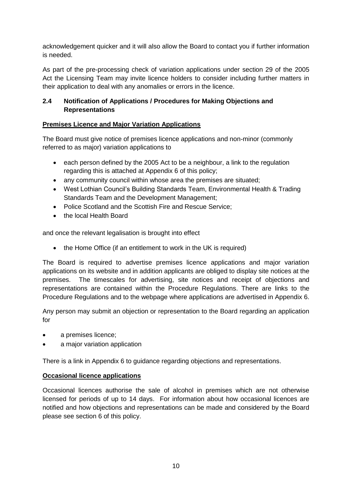acknowledgement quicker and it will also allow the Board to contact you if further information is needed.

As part of the pre-processing check of variation applications under section 29 of the 2005 Act the Licensing Team may invite licence holders to consider including further matters in their application to deal with any anomalies or errors in the licence.

#### **2.4 Notification of Applications / Procedures for Making Objections and Representations**

#### **Premises Licence and Major Variation Applications**

The Board must give notice of premises licence applications and non-minor (commonly referred to as major) variation applications to

- each person defined by the 2005 Act to be a neighbour, a link to the regulation regarding this is attached at Appendix 6 of this policy;
- any community council within whose area the premises are situated;
- West Lothian Council's Building Standards Team, Environmental Health & Trading Standards Team and the Development Management;
- Police Scotland and the Scottish Fire and Rescue Service:
- the local Health Board

and once the relevant legalisation is brought into effect

• the Home Office (if an entitlement to work in the UK is required)

The Board is required to advertise premises licence applications and major variation applications on its website and in addition applicants are obliged to display site notices at the premises. The timescales for advertising, site notices and receipt of objections and representations are contained within the Procedure Regulations. There are links to the Procedure Regulations and to the webpage where applications are advertised in Appendix 6.

Any person may submit an objection or representation to the Board regarding an application for

- a premises licence;
- a major variation application

There is a link in Appendix 6 to guidance regarding objections and representations.

#### **Occasional licence applications**

Occasional licences authorise the sale of alcohol in premises which are not otherwise licensed for periods of up to 14 days. For information about how occasional licences are notified and how objections and representations can be made and considered by the Board please see section 6 of this policy.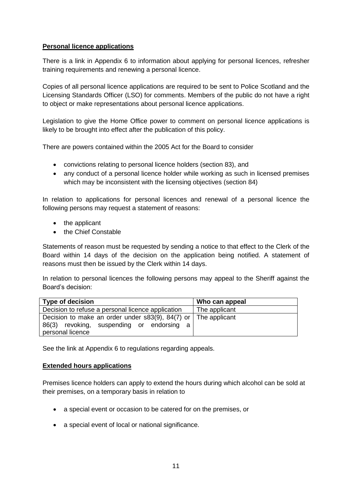#### **Personal licence applications**

There is a link in Appendix 6 to information about applying for personal licences, refresher training requirements and renewing a personal licence.

Copies of all personal licence applications are required to be sent to Police Scotland and the Licensing Standards Officer (LSO) for comments. Members of the public do not have a right to object or make representations about personal licence applications.

Legislation to give the Home Office power to comment on personal licence applications is likely to be brought into effect after the publication of this policy.

There are powers contained within the 2005 Act for the Board to consider

- convictions relating to personal licence holders (section 83), and
- any conduct of a personal licence holder while working as such in licensed premises which may be inconsistent with the licensing objectives (section 84)

In relation to applications for personal licences and renewal of a personal licence the following persons may request a statement of reasons:

- the applicant
- the Chief Constable

Statements of reason must be requested by sending a notice to that effect to the Clerk of the Board within 14 days of the decision on the application being notified. A statement of reasons must then be issued by the Clerk within 14 days.

In relation to personal licences the following persons may appeal to the Sheriff against the Board's decision:

| <b>Type of decision</b>                                               | Who can appeal |
|-----------------------------------------------------------------------|----------------|
| Decision to refuse a personal licence application                     | The applicant  |
| Decision to make an order under $s83(9)$ , $84(7)$ or   The applicant |                |
| 86(3) revoking, suspending or endorsing a                             |                |
| personal licence                                                      |                |

See the link at Appendix 6 to regulations regarding appeals.

#### **Extended hours applications**

Premises licence holders can apply to extend the hours during which alcohol can be sold at their premises, on a temporary basis in relation to

- a special event or occasion to be catered for on the premises, or
- a special event of local or national significance.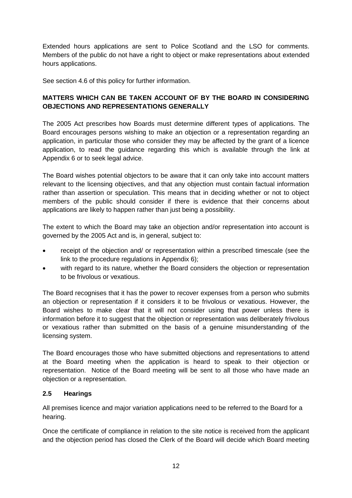Extended hours applications are sent to Police Scotland and the LSO for comments. Members of the public do not have a right to object or make representations about extended hours applications.

See section 4.6 of this policy for further information.

#### **MATTERS WHICH CAN BE TAKEN ACCOUNT OF BY THE BOARD IN CONSIDERING OBJECTIONS AND REPRESENTATIONS GENERALLY**

The 2005 Act prescribes how Boards must determine different types of applications. The Board encourages persons wishing to make an objection or a representation regarding an application, in particular those who consider they may be affected by the grant of a licence application, to read the guidance regarding this which is available through the link at Appendix 6 or to seek legal advice.

The Board wishes potential objectors to be aware that it can only take into account matters relevant to the licensing objectives, and that any objection must contain factual information rather than assertion or speculation. This means that in deciding whether or not to object members of the public should consider if there is evidence that their concerns about applications are likely to happen rather than just being a possibility.

The extent to which the Board may take an objection and/or representation into account is governed by the 2005 Act and is, in general, subject to:

- receipt of the objection and/ or representation within a prescribed timescale (see the link to the procedure regulations in Appendix 6);
- with regard to its nature, whether the Board considers the objection or representation to be frivolous or vexatious.

The Board recognises that it has the power to recover expenses from a person who submits an objection or representation if it considers it to be frivolous or vexatious. However, the Board wishes to make clear that it will not consider using that power unless there is information before it to suggest that the objection or representation was deliberately frivolous or vexatious rather than submitted on the basis of a genuine misunderstanding of the licensing system.

The Board encourages those who have submitted objections and representations to attend at the Board meeting when the application is heard to speak to their objection or representation. Notice of the Board meeting will be sent to all those who have made an objection or a representation.

#### **2.5 Hearings**

All premises licence and major variation applications need to be referred to the Board for a hearing.

Once the certificate of compliance in relation to the site notice is received from the applicant and the objection period has closed the Clerk of the Board will decide which Board meeting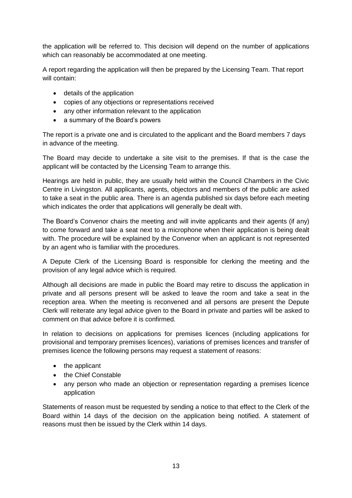the application will be referred to. This decision will depend on the number of applications which can reasonably be accommodated at one meeting.

A report regarding the application will then be prepared by the Licensing Team. That report will contain:

- details of the application
- copies of any objections or representations received
- any other information relevant to the application
- a summary of the Board's powers

The report is a private one and is circulated to the applicant and the Board members 7 days in advance of the meeting.

The Board may decide to undertake a site visit to the premises. If that is the case the applicant will be contacted by the Licensing Team to arrange this.

Hearings are held in public, they are usually held within the Council Chambers in the Civic Centre in Livingston. All applicants, agents, objectors and members of the public are asked to take a seat in the public area. There is an agenda published six days before each meeting which indicates the order that applications will generally be dealt with.

The Board's Convenor chairs the meeting and will invite applicants and their agents (if any) to come forward and take a seat next to a microphone when their application is being dealt with. The procedure will be explained by the Convenor when an applicant is not represented by an agent who is familiar with the procedures.

A Depute Clerk of the Licensing Board is responsible for clerking the meeting and the provision of any legal advice which is required.

Although all decisions are made in public the Board may retire to discuss the application in private and all persons present will be asked to leave the room and take a seat in the reception area. When the meeting is reconvened and all persons are present the Depute Clerk will reiterate any legal advice given to the Board in private and parties will be asked to comment on that advice before it is confirmed.

In relation to decisions on applications for premises licences (including applications for provisional and temporary premises licences), variations of premises licences and transfer of premises licence the following persons may request a statement of reasons:

- the applicant
- the Chief Constable
- any person who made an objection or representation regarding a premises licence application

Statements of reason must be requested by sending a notice to that effect to the Clerk of the Board within 14 days of the decision on the application being notified. A statement of reasons must then be issued by the Clerk within 14 days.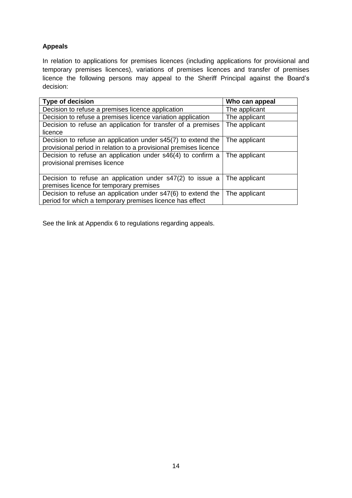## **Appeals**

In relation to applications for premises licences (including applications for provisional and temporary premises licences), variations of premises licences and transfer of premises licence the following persons may appeal to the Sheriff Principal against the Board's decision:

| Type of decision                                                 | Who can appeal |
|------------------------------------------------------------------|----------------|
| Decision to refuse a premises licence application                | The applicant  |
| Decision to refuse a premises licence variation application      | The applicant  |
| Decision to refuse an application for transfer of a premises     | The applicant  |
| licence                                                          |                |
| Decision to refuse an application under s45(7) to extend the     | The applicant  |
| provisional period in relation to a provisional premises licence |                |
| Decision to refuse an application under s46(4) to confirm a      | The applicant  |
| provisional premises licence                                     |                |
|                                                                  |                |
| Decision to refuse an application under s47(2) to issue a        | The applicant  |
| premises licence for temporary premises                          |                |
| Decision to refuse an application under s47(6) to extend the     | The applicant  |
| period for which a temporary premises licence has effect         |                |

See the link at Appendix 6 to regulations regarding appeals.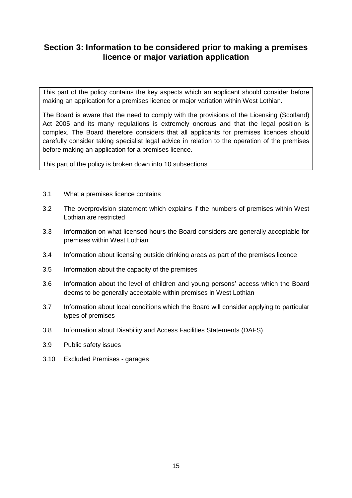## **Section 3: Information to be considered prior to making a premises licence or major variation application**

This part of the policy contains the key aspects which an applicant should consider before making an application for a premises licence or major variation within West Lothian.

The Board is aware that the need to comply with the provisions of the Licensing (Scotland) Act 2005 and its many regulations is extremely onerous and that the legal position is complex. The Board therefore considers that all applicants for premises licences should carefully consider taking specialist legal advice in relation to the operation of the premises before making an application for a premises licence.

This part of the policy is broken down into 10 subsections

- 3.1 What a premises licence contains
- 3.2 The overprovision statement which explains if the numbers of premises within West Lothian are restricted
- 3.3 Information on what licensed hours the Board considers are generally acceptable for premises within West Lothian
- 3.4 Information about licensing outside drinking areas as part of the premises licence
- 3.5 Information about the capacity of the premises
- 3.6 Information about the level of children and young persons' access which the Board deems to be generally acceptable within premises in West Lothian
- 3.7 Information about local conditions which the Board will consider applying to particular types of premises
- 3.8 Information about Disability and Access Facilities Statements (DAFS)
- 3.9 Public safety issues
- 3.10 Excluded Premises garages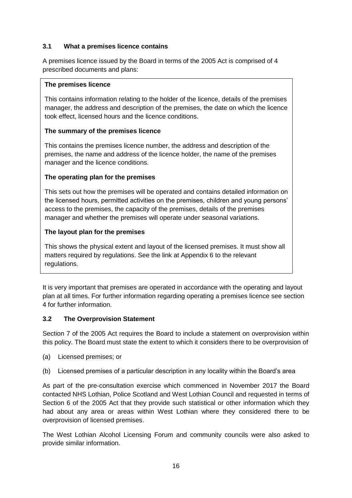#### **3.1 What a premises licence contains**

A premises licence issued by the Board in terms of the 2005 Act is comprised of 4 prescribed documents and plans:

#### **The premises licence**

This contains information relating to the holder of the licence, details of the premises manager, the address and description of the premises, the date on which the licence took effect, licensed hours and the licence conditions.

#### **The summary of the premises licence**

This contains the premises licence number, the address and description of the premises, the name and address of the licence holder, the name of the premises manager and the licence conditions.

#### **The operating plan for the premises**

This sets out how the premises will be operated and contains detailed information on the licensed hours, permitted activities on the premises, children and young persons' access to the premises, the capacity of the premises, details of the premises manager and whether the premises will operate under seasonal variations.

#### **The layout plan for the premises**

This shows the physical extent and layout of the licensed premises. It must show all matters required by regulations. See the link at Appendix 6 to the relevant regulations.

It is very important that premises are operated in accordance with the operating and layout plan at all times. For further information regarding operating a premises licence see section 4 for further information.

#### **3.2 The Overprovision Statement**

Section 7 of the 2005 Act requires the Board to include a statement on overprovision within this policy. The Board must state the extent to which it considers there to be overprovision of

- (a) Licensed premises; or
- (b) Licensed premises of a particular description in any locality within the Board's area

As part of the pre-consultation exercise which commenced in November 2017 the Board contacted NHS Lothian, Police Scotland and West Lothian Council and requested in terms of Section 6 of the 2005 Act that they provide such statistical or other information which they had about any area or areas within West Lothian where they considered there to be overprovision of licensed premises.

The West Lothian Alcohol Licensing Forum and community councils were also asked to provide similar information.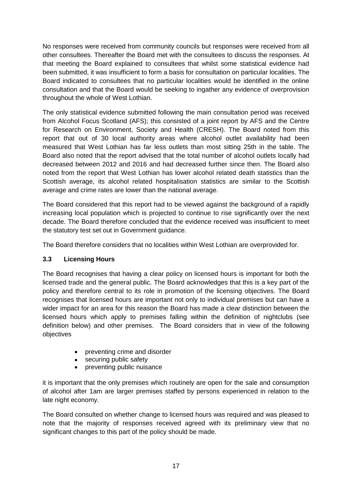No responses were received from community councils but responses were received from all other consultees. Thereafter the Board met with the consultees to discuss the responses. At that meeting the Board explained to consultees that whilst some statistical evidence had been submitted, it was insufficient to form a basis for consultation on particular localities. The Board indicated to consultees that no particular localities would be identified in the online consultation and that the Board would be seeking to ingather any evidence of overprovision throughout the whole of West Lothian.

The only statistical evidence submitted following the main consultation period was received from Alcohol Focus Scotland (AFS); this consisted of a joint report by AFS and the Centre for Research on Environment, Society and Health (CRESH). The Board noted from this report that out of 30 local authority areas where alcohol outlet availability had been measured that West Lothian has far less outlets than most sitting 25th in the table. The Board also noted that the report advised that the total number of alcohol outlets locally had decreased between 2012 and 2016 and had decreased further since then. The Board also noted from the report that West Lothian has lower alcohol related death statistics than the Scottish average, its alcohol related hospitalisation statistics are similar to the Scottish average and crime rates are lower than the national average.

The Board considered that this report had to be viewed against the background of a rapidly increasing local population which is projected to continue to rise significantly over the next decade. The Board therefore concluded that the evidence received was insufficient to meet the statutory test set out in Government guidance.

The Board therefore considers that no localities within West Lothian are overprovided for.

#### **3.3 Licensing Hours**

The Board recognises that having a clear policy on licensed hours is important for both the licensed trade and the general public. The Board acknowledges that this is a key part of the policy and therefore central to its role in promotion of the licensing objectives. The Board recognises that licensed hours are important not only to individual premises but can have a wider impact for an area for this reason the Board has made a clear distinction between the licensed hours which apply to premises falling within the definition of nightclubs (see definition below) and other premises. The Board considers that in view of the following objectives

- preventing crime and disorder
- securing public safety
- preventing public nuisance

it is important that the only premises which routinely are open for the sale and consumption of alcohol after 1am are larger premises staffed by persons experienced in relation to the late night economy.

The Board consulted on whether change to licensed hours was required and was pleased to note that the majority of responses received agreed with its preliminary view that no significant changes to this part of the policy should be made.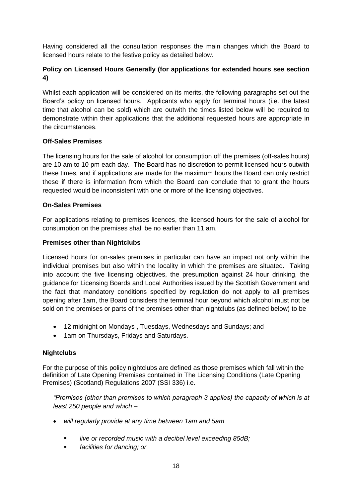Having considered all the consultation responses the main changes which the Board to licensed hours relate to the festive policy as detailed below.

#### **Policy on Licensed Hours Generally (for applications for extended hours see section 4)**

Whilst each application will be considered on its merits, the following paragraphs set out the Board's policy on licensed hours. Applicants who apply for terminal hours (i.e. the latest time that alcohol can be sold) which are outwith the times listed below will be required to demonstrate within their applications that the additional requested hours are appropriate in the circumstances.

#### **Off-Sales Premises**

The licensing hours for the sale of alcohol for consumption off the premises (off-sales hours) are 10 am to 10 pm each day. The Board has no discretion to permit licensed hours outwith these times, and if applications are made for the maximum hours the Board can only restrict these if there is information from which the Board can conclude that to grant the hours requested would be inconsistent with one or more of the licensing objectives.

#### **On-Sales Premises**

For applications relating to premises licences, the licensed hours for the sale of alcohol for consumption on the premises shall be no earlier than 11 am.

#### **Premises other than Nightclubs**

Licensed hours for on-sales premises in particular can have an impact not only within the individual premises but also within the locality in which the premises are situated. Taking into account the five licensing objectives, the presumption against 24 hour drinking, the guidance for Licensing Boards and Local Authorities issued by the Scottish Government and the fact that mandatory conditions specified by regulation do not apply to all premises opening after 1am, the Board considers the terminal hour beyond which alcohol must not be sold on the premises or parts of the premises other than nightclubs (as defined below) to be

- 12 midnight on Mondays , Tuesdays, Wednesdays and Sundays; and
- 1am on Thursdays, Fridays and Saturdays.

#### **Nightclubs**

For the purpose of this policy nightclubs are defined as those premises which fall within the definition of Late Opening Premises contained in The Licensing Conditions (Late Opening Premises) (Scotland) Regulations 2007 (SSI 336) i.e.

*"Premises (other than premises to which paragraph 3 applies) the capacity of which is at least 250 people and which –*

- *will regularly provide at any time between 1am and 5am*
	- *live or recorded music with a decibel level exceeding 85dB;*
	- *facilities for dancing; or*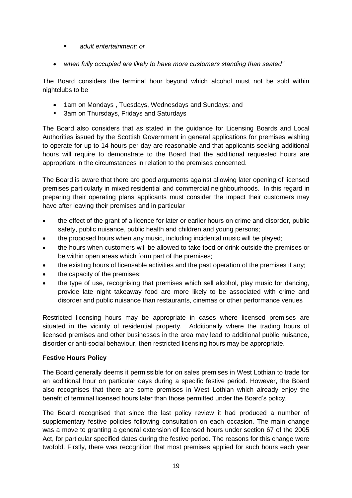- *adult entertainment; or*
- *when fully occupied are likely to have more customers standing than seated"*

The Board considers the terminal hour beyond which alcohol must not be sold within nightclubs to be

- 1am on Mondays , Tuesdays, Wednesdays and Sundays; and
- **3am on Thursdays, Fridays and Saturdays**

The Board also considers that as stated in the guidance for Licensing Boards and Local Authorities issued by the Scottish Government in general applications for premises wishing to operate for up to 14 hours per day are reasonable and that applicants seeking additional hours will require to demonstrate to the Board that the additional requested hours are appropriate in the circumstances in relation to the premises concerned.

The Board is aware that there are good arguments against allowing later opening of licensed premises particularly in mixed residential and commercial neighbourhoods. In this regard in preparing their operating plans applicants must consider the impact their customers may have after leaving their premises and in particular

- the effect of the grant of a licence for later or earlier hours on crime and disorder, public safety, public nuisance, public health and children and young persons;
- the proposed hours when any music, including incidental music will be played;
- the hours when customers will be allowed to take food or drink outside the premises or be within open areas which form part of the premises;
- the existing hours of licensable activities and the past operation of the premises if any;
- the capacity of the premises;
- the type of use, recognising that premises which sell alcohol, play music for dancing, provide late night takeaway food are more likely to be associated with crime and disorder and public nuisance than restaurants, cinemas or other performance venues

Restricted licensing hours may be appropriate in cases where licensed premises are situated in the vicinity of residential property. Additionally where the trading hours of licensed premises and other businesses in the area may lead to additional public nuisance, disorder or anti-social behaviour, then restricted licensing hours may be appropriate.

#### **Festive Hours Policy**

The Board generally deems it permissible for on sales premises in West Lothian to trade for an additional hour on particular days during a specific festive period. However, the Board also recognises that there are some premises in West Lothian which already enjoy the benefit of terminal licensed hours later than those permitted under the Board's policy.

The Board recognised that since the last policy review it had produced a number of supplementary festive policies following consultation on each occasion. The main change was a move to granting a general extension of licensed hours under section 67 of the 2005 Act, for particular specified dates during the festive period. The reasons for this change were twofold. Firstly, there was recognition that most premises applied for such hours each year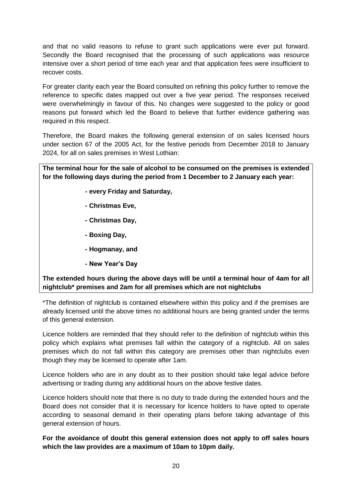and that no valid reasons to refuse to grant such applications were ever put forward. Secondly the Board recognised that the processing of such applications was resource intensive over a short period of time each year and that application fees were insufficient to recover costs.

For greater clarity each year the Board consulted on refining this policy further to remove the reference to specific dates mapped out over a five year period. The responses received were overwhelmingly in favour of this. No changes were suggested to the policy or good reasons put forward which led the Board to believe that further evidence gathering was required in this respect.

Therefore, the Board makes the following general extension of on sales licensed hours under section 67 of the 2005 Act, for the festive periods from December 2018 to January 2024, for all on sales premises in West Lothian:

**The terminal hour for the sale of alcohol to be consumed on the premises is extended for the following days during the period from 1 December to 2 January each year:**

- **- every Friday and Saturday,**
- **- Christmas Eve,**
- **- Christmas Day,**
- **- Boxing Day,**
- **- Hogmanay, and**
- **- New Year's Day**

**The extended hours during the above days will be until a terminal hour of 4am for all nightclub\* premises and 2am for all premises which are not nightclubs**

\*The definition of nightclub is contained elsewhere within this policy and if the premises are already licensed until the above times no additional hours are being granted under the terms of this general extension.

Licence holders are reminded that they should refer to the definition of nightclub within this policy which explains what premises fall within the category of a nightclub. All on sales premises which do not fall within this category are premises other than nightclubs even though they may be licensed to operate after 1am.

Licence holders who are in any doubt as to their position should take legal advice before advertising or trading during any additional hours on the above festive dates.

Licence holders should note that there is no duty to trade during the extended hours and the Board does not consider that it is necessary for licence holders to have opted to operate according to seasonal demand in their operating plans before taking advantage of this general extension of hours.

**For the avoidance of doubt this general extension does not apply to off sales hours which the law provides are a maximum of 10am to 10pm daily.**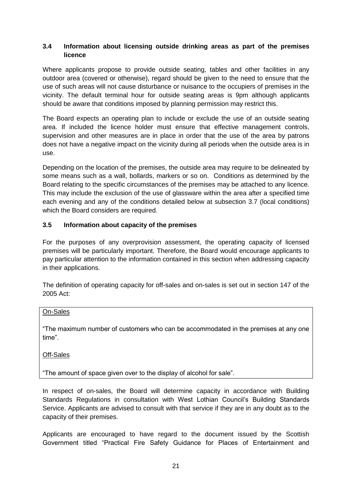#### **3.4 Information about licensing outside drinking areas as part of the premises licence**

Where applicants propose to provide outside seating, tables and other facilities in any outdoor area (covered or otherwise), regard should be given to the need to ensure that the use of such areas will not cause disturbance or nuisance to the occupiers of premises in the vicinity. The default terminal hour for outside seating areas is 9pm although applicants should be aware that conditions imposed by planning permission may restrict this.

The Board expects an operating plan to include or exclude the use of an outside seating area. If included the licence holder must ensure that effective management controls, supervision and other measures are in place in order that the use of the area by patrons does not have a negative impact on the vicinity during all periods when the outside area is in use.

Depending on the location of the premises, the outside area may require to be delineated by some means such as a wall, bollards, markers or so on. Conditions as determined by the Board relating to the specific circumstances of the premises may be attached to any licence. This may include the exclusion of the use of glassware within the area after a specified time each evening and any of the conditions detailed below at subsection 3.7 (local conditions) which the Board considers are required.

#### **3.5 Information about capacity of the premises**

For the purposes of any overprovision assessment, the operating capacity of licensed premises will be particularly important. Therefore, the Board would encourage applicants to pay particular attention to the information contained in this section when addressing capacity in their applications.

The definition of operating capacity for off-sales and on-sales is set out in section 147 of the 2005 Act:

#### On-Sales

"The maximum number of customers who can be accommodated in the premises at any one time".

Off-Sales

"The amount of space given over to the display of alcohol for sale".

In respect of on-sales, the Board will determine capacity in accordance with Building Standards Regulations in consultation with West Lothian Council's Building Standards Service. Applicants are advised to consult with that service if they are in any doubt as to the capacity of their premises.

Applicants are encouraged to have regard to the document issued by the Scottish Government titled "Practical Fire Safety Guidance for Places of Entertainment and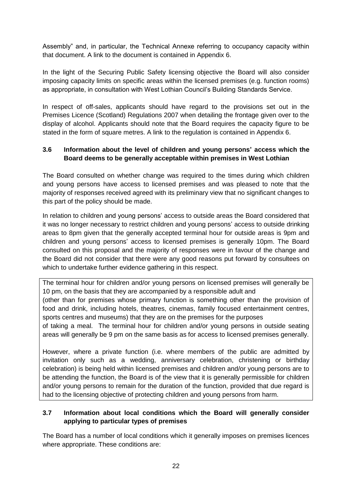Assembly" and, in particular, the Technical Annexe referring to occupancy capacity within that document. A link to the document is contained in Appendix 6.

In the light of the Securing Public Safety licensing objective the Board will also consider imposing capacity limits on specific areas within the licensed premises (e.g. function rooms) as appropriate, in consultation with West Lothian Council's Building Standards Service.

In respect of off-sales, applicants should have regard to the provisions set out in the Premises Licence (Scotland) Regulations 2007 when detailing the frontage given over to the display of alcohol. Applicants should note that the Board requires the capacity figure to be stated in the form of square metres. A link to the regulation is contained in Appendix 6.

#### **3.6 Information about the level of children and young persons' access which the Board deems to be generally acceptable within premises in West Lothian**

The Board consulted on whether change was required to the times during which children and young persons have access to licensed premises and was pleased to note that the majority of responses received agreed with its preliminary view that no significant changes to this part of the policy should be made.

In relation to children and young persons' access to outside areas the Board considered that it was no longer necessary to restrict children and young persons' access to outside drinking areas to 8pm given that the generally accepted terminal hour for outside areas is 9pm and children and young persons' access to licensed premises is generally 10pm. The Board consulted on this proposal and the majority of responses were in favour of the change and the Board did not consider that there were any good reasons put forward by consultees on which to undertake further evidence gathering in this respect.

The terminal hour for children and/or young persons on licensed premises will generally be 10 pm, on the basis that they are accompanied by a responsible adult and (other than for premises whose primary function is something other than the provision of food and drink, including hotels, theatres, cinemas, family focused entertainment centres, sports centres and museums) that they are on the premises for the purposes

of taking a meal. The terminal hour for children and/or young persons in outside seating areas will generally be 9 pm on the same basis as for access to licensed premises generally.

However, where a private function (i.e. where members of the public are admitted by invitation only such as a wedding, anniversary celebration, christening or birthday celebration) is being held within licensed premises and children and/or young persons are to be attending the function, the Board is of the view that it is generally permissible for children and/or young persons to remain for the duration of the function, provided that due regard is had to the licensing objective of protecting children and young persons from harm.

#### **3.7 Information about local conditions which the Board will generally consider applying to particular types of premises**

The Board has a number of local conditions which it generally imposes on premises licences where appropriate. These conditions are: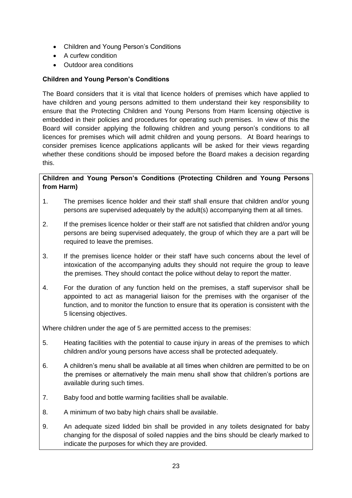- Children and Young Person's Conditions
- A curfew condition
- Outdoor area conditions

#### **Children and Young Person's Conditions**

The Board considers that it is vital that licence holders of premises which have applied to have children and young persons admitted to them understand their key responsibility to ensure that the Protecting Children and Young Persons from Harm licensing objective is embedded in their policies and procedures for operating such premises. In view of this the Board will consider applying the following children and young person's conditions to all licences for premises which will admit children and young persons. At Board hearings to consider premises licence applications applicants will be asked for their views regarding whether these conditions should be imposed before the Board makes a decision regarding this.

#### **Children and Young Person's Conditions (Protecting Children and Young Persons from Harm)**

- 1. The premises licence holder and their staff shall ensure that children and/or young persons are supervised adequately by the adult(s) accompanying them at all times.
- 2. If the premises licence holder or their staff are not satisfied that children and/or young persons are being supervised adequately, the group of which they are a part will be required to leave the premises.
- 3. If the premises licence holder or their staff have such concerns about the level of intoxication of the accompanying adults they should not require the group to leave the premises. They should contact the police without delay to report the matter.
- 4. For the duration of any function held on the premises, a staff supervisor shall be appointed to act as managerial liaison for the premises with the organiser of the function, and to monitor the function to ensure that its operation is consistent with the 5 licensing objectives.

Where children under the age of 5 are permitted access to the premises:

- 5. Heating facilities with the potential to cause injury in areas of the premises to which children and/or young persons have access shall be protected adequately.
- 6. A children's menu shall be available at all times when children are permitted to be on the premises or alternatively the main menu shall show that children's portions are available during such times.
- 7. Baby food and bottle warming facilities shall be available.
- 8. A minimum of two baby high chairs shall be available.
- 9. An adequate sized lidded bin shall be provided in any toilets designated for baby changing for the disposal of soiled nappies and the bins should be clearly marked to indicate the purposes for which they are provided.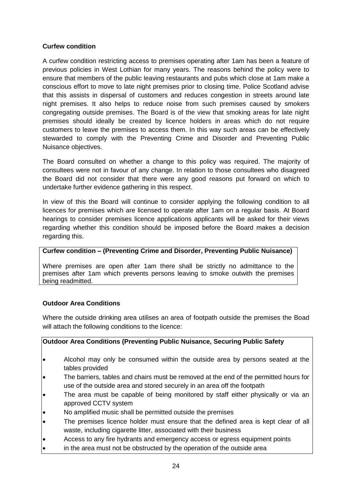#### **Curfew condition**

A curfew condition restricting access to premises operating after 1am has been a feature of previous policies in West Lothian for many years. The reasons behind the policy were to ensure that members of the public leaving restaurants and pubs which close at 1am make a conscious effort to move to late night premises prior to closing time. Police Scotland advise that this assists in dispersal of customers and reduces congestion in streets around late night premises. It also helps to reduce noise from such premises caused by smokers congregating outside premises. The Board is of the view that smoking areas for late night premises should ideally be created by licence holders in areas which do not require customers to leave the premises to access them. In this way such areas can be effectively stewarded to comply with the Preventing Crime and Disorder and Preventing Public Nuisance objectives.

The Board consulted on whether a change to this policy was required. The majority of consultees were not in favour of any change. In relation to those consultees who disagreed the Board did not consider that there were any good reasons put forward on which to undertake further evidence gathering in this respect.

In view of this the Board will continue to consider applying the following condition to all licences for premises which are licensed to operate after 1am on a regular basis. At Board hearings to consider premises licence applications applicants will be asked for their views regarding whether this condition should be imposed before the Board makes a decision regarding this.

#### **Curfew condition – (Preventing Crime and Disorder, Preventing Public Nuisance)**

Where premises are open after 1am there shall be strictly no admittance to the premises after 1am which prevents persons leaving to smoke outwith the premises being readmitted.

#### **Outdoor Area Conditions**

Where the outside drinking area utilises an area of footpath outside the premises the Boad will attach the following conditions to the licence:

#### **Outdoor Area Conditions (Preventing Public Nuisance, Securing Public Safety**

- Alcohol may only be consumed within the outside area by persons seated at the tables provided
- The barriers, tables and chairs must be removed at the end of the permitted hours for use of the outside area and stored securely in an area off the footpath
- The area must be capable of being monitored by staff either physically or via an approved CCTV system
- No amplified music shall be permitted outside the premises
- The premises licence holder must ensure that the defined area is kept clear of all waste, including cigarette litter, associated with their business
- Access to any fire hydrants and emergency access or egress equipment points
- in the area must not be obstructed by the operation of the outside area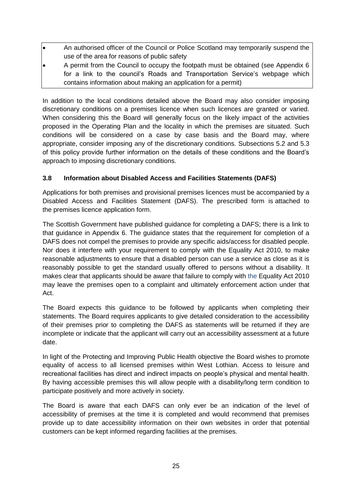- An authorised officer of the Council or Police Scotland may temporarily suspend the use of the area for reasons of public safety
- A permit from the Council to occupy the footpath must be obtained (see Appendix 6 for a link to the council's Roads and Transportation Service's webpage which contains information about making an application for a permit)

In addition to the local conditions detailed above the Board may also consider imposing discretionary conditions on a premises licence when such licences are granted or varied. When considering this the Board will generally focus on the likely impact of the activities proposed in the Operating Plan and the locality in which the premises are situated. Such conditions will be considered on a case by case basis and the Board may, where appropriate, consider imposing any of the discretionary conditions. Subsections 5.2 and 5.3 of this policy provide further information on the details of these conditions and the Board's approach to imposing discretionary conditions.

#### **3.8 Information about Disabled Access and Facilities Statements (DAFS)**

Applications for both premises and provisional premises licences must be accompanied by a Disabled Access and Facilities Statement (DAFS). The prescribed form is attached to the premises licence application form.

The Scottish Government have published guidance for completing a DAFS; there is a link to that guidance in Appendix 6. The guidance states that the requirement for completion of a DAFS does not compel the premises to provide any specific aids/access for disabled people. Nor does it interfere with your requirement to comply with the Equality Act 2010, to make reasonable adjustments to ensure that a disabled person can use a service as close as it is reasonably possible to get the standard usually offered to persons without a disability. It makes clear that applicants should be aware that failure to comply with the Equality Act 2010 may leave the premises open to a complaint and ultimately enforcement action under that Act.

The Board expects this guidance to be followed by applicants when completing their statements. The Board requires applicants to give detailed consideration to the accessibility of their premises prior to completing the DAFS as statements will be returned if they are incomplete or indicate that the applicant will carry out an accessibility assessment at a future date.

In light of the Protecting and Improving Public Health objective the Board wishes to promote equality of access to all licensed premises within West Lothian. Access to leisure and recreational facilities has direct and indirect impacts on people's physical and mental health. By having accessible premises this will allow people with a disability/long term condition to participate positively and more actively in society.

The Board is aware that each DAFS can only ever be an indication of the level of accessibility of premises at the time it is completed and would recommend that premises provide up to date accessibility information on their own websites in order that potential customers can be kept informed regarding facilities at the premises.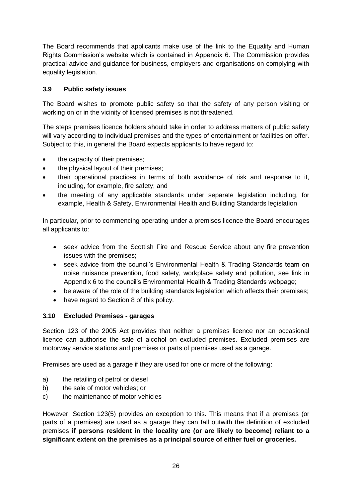The Board recommends that applicants make use of the link to the Equality and Human Rights Commission's website which is contained in Appendix 6. The Commission provides practical advice and guidance for business, employers and organisations on complying with equality legislation.

#### **3.9 Public safety issues**

The Board wishes to promote public safety so that the safety of any person visiting or working on or in the vicinity of licensed premises is not threatened.

The steps premises licence holders should take in order to address matters of public safety will vary according to individual premises and the types of entertainment or facilities on offer. Subject to this, in general the Board expects applicants to have regard to:

- the capacity of their premises;
- the physical layout of their premises;
- their operational practices in terms of both avoidance of risk and response to it, including, for example, fire safety; and
- the meeting of any applicable standards under separate legislation including, for example, Health & Safety, Environmental Health and Building Standards legislation

In particular, prior to commencing operating under a premises licence the Board encourages all applicants to:

- seek advice from the Scottish Fire and Rescue Service about any fire prevention issues with the premises;
- seek advice from the council's Environmental Health & Trading Standards team on noise nuisance prevention, food safety, workplace safety and pollution, see link in Appendix 6 to the council's Environmental Health & Trading Standards webpage;
- be aware of the role of the building standards legislation which affects their premises;
- have regard to Section 8 of this policy.

#### **3.10 Excluded Premises - garages**

Section 123 of the 2005 Act provides that neither a premises licence nor an occasional licence can authorise the sale of alcohol on excluded premises. Excluded premises are motorway service stations and premises or parts of premises used as a garage.

Premises are used as a garage if they are used for one or more of the following:

- a) the retailing of petrol or diesel
- b) the sale of motor vehicles; or
- c) the maintenance of motor vehicles

However, Section 123(5) provides an exception to this. This means that if a premises (or parts of a premises) are used as a garage they can fall outwith the definition of excluded premises **if persons resident in the locality are (or are likely to become) reliant to a significant extent on the premises as a principal source of either fuel or groceries.**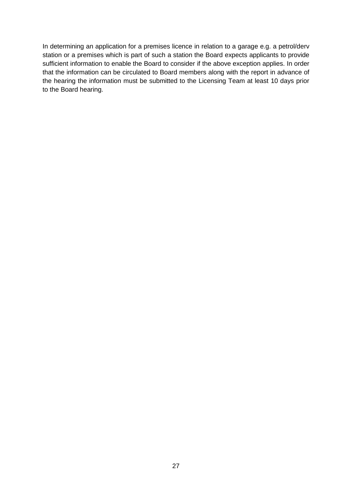In determining an application for a premises licence in relation to a garage e.g. a petrol/derv station or a premises which is part of such a station the Board expects applicants to provide sufficient information to enable the Board to consider if the above exception applies. In order that the information can be circulated to Board members along with the report in advance of the hearing the information must be submitted to the Licensing Team at least 10 days prior to the Board hearing.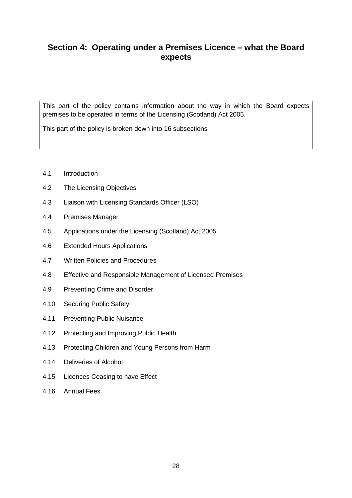## **Section 4: Operating under a Premises Licence – what the Board expects**

This part of the policy contains information about the way in which the Board expects premises to be operated in terms of the Licensing (Scotland) Act 2005.

This part of the policy is broken down into 16 subsections

- 4.1 Introduction
- 4.2 The Licensing Objectives
- 4.3 Liaison with Licensing Standards Officer (LSO)
- 4.4 Premises Manager
- 4.5 Applications under the Licensing (Scotland) Act 2005
- 4.6 Extended Hours Applications
- 4.7 Written Policies and Procedures
- 4.8 Effective and Responsible Management of Licensed Premises
- 4.9 Preventing Crime and Disorder
- 4.10 Securing Public Safety
- 4.11 Preventing Public Nuisance
- 4.12 Protecting and Improving Public Health
- 4.13 Protecting Children and Young Persons from Harm
- 4.14 Deliveries of Alcohol
- 4.15 Licences Ceasing to have Effect
- 4.16 Annual Fees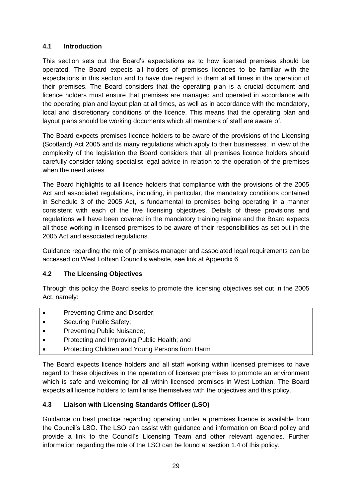#### **4.1 Introduction**

This section sets out the Board's expectations as to how licensed premises should be operated. The Board expects all holders of premises licences to be familiar with the expectations in this section and to have due regard to them at all times in the operation of their premises. The Board considers that the operating plan is a crucial document and licence holders must ensure that premises are managed and operated in accordance with the operating plan and layout plan at all times, as well as in accordance with the mandatory, local and discretionary conditions of the licence. This means that the operating plan and layout plans should be working documents which all members of staff are aware of.

The Board expects premises licence holders to be aware of the provisions of the Licensing (Scotland) Act 2005 and its many regulations which apply to their businesses. In view of the complexity of the legislation the Board considers that all premises licence holders should carefully consider taking specialist legal advice in relation to the operation of the premises when the need arises.

The Board highlights to all licence holders that compliance with the provisions of the 2005 Act and associated regulations, including, in particular, the mandatory conditions contained in Schedule 3 of the 2005 Act, is fundamental to premises being operating in a manner consistent with each of the five licensing objectives. Details of these provisions and regulations will have been covered in the mandatory training regime and the Board expects all those working in licensed premises to be aware of their responsibilities as set out in the 2005 Act and associated regulations.

Guidance regarding the role of premises manager and associated legal requirements can be accessed on West Lothian Council's website, see link at Appendix 6.

#### **4.2 The Licensing Objectives**

Through this policy the Board seeks to promote the licensing objectives set out in the 2005 Act, namely:

- Preventing Crime and Disorder;
- Securing Public Safety;
- Preventing Public Nuisance;
- Protecting and Improving Public Health; and
- Protecting Children and Young Persons from Harm

The Board expects licence holders and all staff working within licensed premises to have regard to these objectives in the operation of licensed premises to promote an environment which is safe and welcoming for all within licensed premises in West Lothian. The Board expects all licence holders to familiarise themselves with the objectives and this policy.

#### **4.3 Liaison with Licensing Standards Officer (LSO)**

Guidance on best practice regarding operating under a premises licence is available from the Council's LSO. The LSO can assist with guidance and information on Board policy and provide a link to the Council's Licensing Team and other relevant agencies. Further information regarding the role of the LSO can be found at section 1.4 of this policy.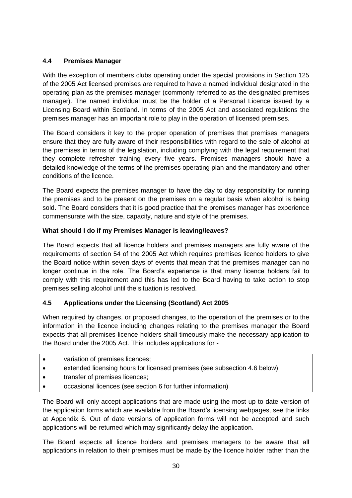#### **4.4 Premises Manager**

With the exception of members clubs operating under the special provisions in Section 125 of the 2005 Act licensed premises are required to have a named individual designated in the operating plan as the premises manager (commonly referred to as the designated premises manager). The named individual must be the holder of a Personal Licence issued by a Licensing Board within Scotland. In terms of the 2005 Act and associated regulations the premises manager has an important role to play in the operation of licensed premises.

The Board considers it key to the proper operation of premises that premises managers ensure that they are fully aware of their responsibilities with regard to the sale of alcohol at the premises in terms of the legislation, including complying with the legal requirement that they complete refresher training every five years. Premises managers should have a detailed knowledge of the terms of the premises operating plan and the mandatory and other conditions of the licence.

The Board expects the premises manager to have the day to day responsibility for running the premises and to be present on the premises on a regular basis when alcohol is being sold. The Board considers that it is good practice that the premises manager has experience commensurate with the size, capacity, nature and style of the premises.

#### **What should I do if my Premises Manager is leaving/leaves?**

The Board expects that all licence holders and premises managers are fully aware of the requirements of section 54 of the 2005 Act which requires premises licence holders to give the Board notice within seven days of events that mean that the premises manager can no longer continue in the role. The Board's experience is that many licence holders fail to comply with this requirement and this has led to the Board having to take action to stop premises selling alcohol until the situation is resolved.

## **4.5 Applications under the Licensing (Scotland) Act 2005**

When required by changes, or proposed changes, to the operation of the premises or to the information in the licence including changes relating to the premises manager the Board expects that all premises licence holders shall timeously make the necessary application to the Board under the 2005 Act. This includes applications for -

- variation of premises licences;
- extended licensing hours for licensed premises (see subsection 4.6 below)
- transfer of premises licences;
- occasional licences (see section 6 for further information)

The Board will only accept applications that are made using the most up to date version of the application forms which are available from the Board's licensing webpages, see the links at Appendix 6. Out of date versions of application forms will not be accepted and such applications will be returned which may significantly delay the application.

The Board expects all licence holders and premises managers to be aware that all applications in relation to their premises must be made by the licence holder rather than the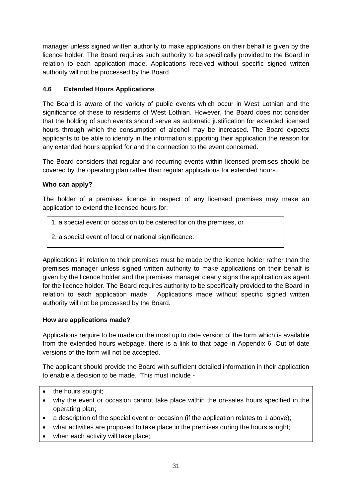manager unless signed written authority to make applications on their behalf is given by the licence holder. The Board requires such authority to be specifically provided to the Board in relation to each application made. Applications received without specific signed written authority will not be processed by the Board.

#### **4.6 Extended Hours Applications**

The Board is aware of the variety of public events which occur in West Lothian and the significance of these to residents of West Lothian. However, the Board does not consider that the holding of such events should serve as automatic justification for extended licensed hours through which the consumption of alcohol may be increased. The Board expects applicants to be able to identify in the information supporting their application the reason for any extended hours applied for and the connection to the event concerned.

The Board considers that regular and recurring events within licensed premises should be covered by the operating plan rather than regular applications for extended hours.

#### **Who can apply?**

The holder of a premises licence in respect of any licensed premises may make an application to extend the licensed hours for:

- 1. a special event or occasion to be catered for on the premises, or
- 2. a special event of local or national significance.

Applications in relation to their premises must be made by the licence holder rather than the premises manager unless signed written authority to make applications on their behalf is given by the licence holder and the premises manager clearly signs the application as agent for the licence holder. The Board requires authority to be specifically provided to the Board in relation to each application made. Applications made without specific signed written authority will not be processed by the Board.

#### **How are applications made?**

Applications require to be made on the most up to date version of the form which is available from the extended hours webpage, there is a link to that page in Appendix 6. Out of date versions of the form will not be accepted.

The applicant should provide the Board with sufficient detailed information in their application to enable a decision to be made. This must include -

- the hours sought;
- why the event or occasion cannot take place within the on-sales hours specified in the operating plan;
- a description of the special event or occasion (if the application relates to 1 above);
- what activities are proposed to take place in the premises during the hours sought;
- when each activity will take place: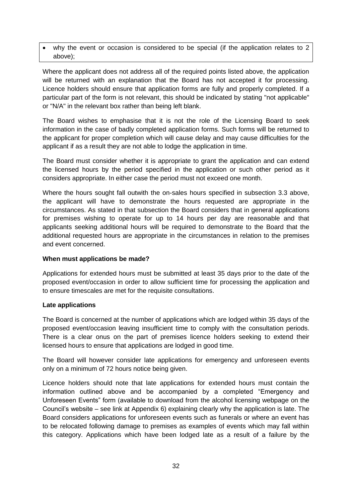why the event or occasion is considered to be special (if the application relates to 2 above);

Where the applicant does not address all of the required points listed above, the application will be returned with an explanation that the Board has not accepted it for processing. Licence holders should ensure that application forms are fully and properly completed. If a particular part of the form is not relevant, this should be indicated by stating "not applicable" or "N/A" in the relevant box rather than being left blank.

The Board wishes to emphasise that it is not the role of the Licensing Board to seek information in the case of badly completed application forms. Such forms will be returned to the applicant for proper completion which will cause delay and may cause difficulties for the applicant if as a result they are not able to lodge the application in time.

The Board must consider whether it is appropriate to grant the application and can extend the licensed hours by the period specified in the application or such other period as it considers appropriate. In either case the period must not exceed one month.

Where the hours sought fall outwith the on-sales hours specified in subsection 3.3 above, the applicant will have to demonstrate the hours requested are appropriate in the circumstances. As stated in that subsection the Board considers that in general applications for premises wishing to operate for up to 14 hours per day are reasonable and that applicants seeking additional hours will be required to demonstrate to the Board that the additional requested hours are appropriate in the circumstances in relation to the premises and event concerned.

#### **When must applications be made?**

Applications for extended hours must be submitted at least 35 days prior to the date of the proposed event/occasion in order to allow sufficient time for processing the application and to ensure timescales are met for the requisite consultations.

#### **Late applications**

The Board is concerned at the number of applications which are lodged within 35 days of the proposed event/occasion leaving insufficient time to comply with the consultation periods. There is a clear onus on the part of premises licence holders seeking to extend their licensed hours to ensure that applications are lodged in good time.

The Board will however consider late applications for emergency and unforeseen events only on a minimum of 72 hours notice being given.

Licence holders should note that late applications for extended hours must contain the information outlined above and be accompanied by a completed "Emergency and Unforeseen Events" form (available to download from the alcohol licensing webpage on the Council's website – see link at Appendix 6) explaining clearly why the application is late. The Board considers applications for unforeseen events such as funerals or where an event has to be relocated following damage to premises as examples of events which may fall within this category. Applications which have been lodged late as a result of a failure by the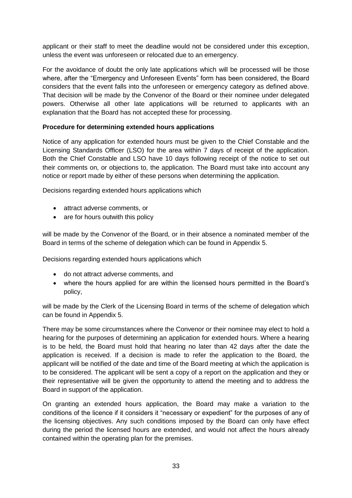applicant or their staff to meet the deadline would not be considered under this exception, unless the event was unforeseen or relocated due to an emergency.

For the avoidance of doubt the only late applications which will be processed will be those where, after the "Emergency and Unforeseen Events" form has been considered, the Board considers that the event falls into the unforeseen or emergency category as defined above. That decision will be made by the Convenor of the Board or their nominee under delegated powers. Otherwise all other late applications will be returned to applicants with an explanation that the Board has not accepted these for processing.

#### **Procedure for determining extended hours applications**

Notice of any application for extended hours must be given to the Chief Constable and the Licensing Standards Officer (LSO) for the area within 7 days of receipt of the application. Both the Chief Constable and LSO have 10 days following receipt of the notice to set out their comments on, or objections to, the application. The Board must take into account any notice or report made by either of these persons when determining the application.

Decisions regarding extended hours applications which

- attract adverse comments, or
- are for hours outwith this policy

will be made by the Convenor of the Board, or in their absence a nominated member of the Board in terms of the scheme of delegation which can be found in Appendix 5.

Decisions regarding extended hours applications which

- do not attract adverse comments, and
- where the hours applied for are within the licensed hours permitted in the Board's policy,

will be made by the Clerk of the Licensing Board in terms of the scheme of delegation which can be found in Appendix 5.

There may be some circumstances where the Convenor or their nominee may elect to hold a hearing for the purposes of determining an application for extended hours. Where a hearing is to be held, the Board must hold that hearing no later than 42 days after the date the application is received. If a decision is made to refer the application to the Board, the applicant will be notified of the date and time of the Board meeting at which the application is to be considered. The applicant will be sent a copy of a report on the application and they or their representative will be given the opportunity to attend the meeting and to address the Board in support of the application.

On granting an extended hours application, the Board may make a variation to the conditions of the licence if it considers it "necessary or expedient" for the purposes of any of the licensing objectives. Any such conditions imposed by the Board can only have effect during the period the licensed hours are extended, and would not affect the hours already contained within the operating plan for the premises.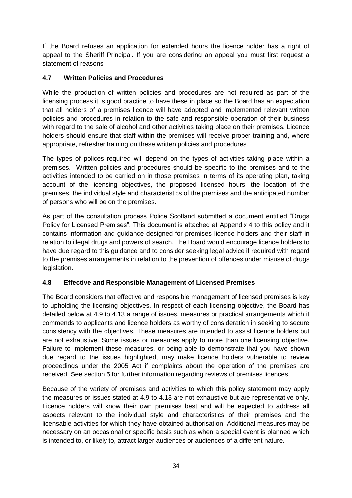If the Board refuses an application for extended hours the licence holder has a right of appeal to the Sheriff Principal. If you are considering an appeal you must first request a statement of reasons

#### **4.7 Written Policies and Procedures**

While the production of written policies and procedures are not required as part of the licensing process it is good practice to have these in place so the Board has an expectation that all holders of a premises licence will have adopted and implemented relevant written policies and procedures in relation to the safe and responsible operation of their business with regard to the sale of alcohol and other activities taking place on their premises. Licence holders should ensure that staff within the premises will receive proper training and, where appropriate, refresher training on these written policies and procedures.

The types of polices required will depend on the types of activities taking place within a premises. Written policies and procedures should be specific to the premises and to the activities intended to be carried on in those premises in terms of its operating plan, taking account of the licensing objectives, the proposed licensed hours, the location of the premises, the individual style and characteristics of the premises and the anticipated number of persons who will be on the premises.

As part of the consultation process Police Scotland submitted a document entitled "Drugs Policy for Licensed Premises". This document is attached at Appendix 4 to this policy and it contains information and guidance designed for premises licence holders and their staff in relation to illegal drugs and powers of search. The Board would encourage licence holders to have due regard to this guidance and to consider seeking legal advice if required with regard to the premises arrangements in relation to the prevention of offences under misuse of drugs legislation.

#### **4.8 Effective and Responsible Management of Licensed Premises**

The Board considers that effective and responsible management of licensed premises is key to upholding the licensing objectives. In respect of each licensing objective, the Board has detailed below at 4.9 to 4.13 a range of issues, measures or practical arrangements which it commends to applicants and licence holders as worthy of consideration in seeking to secure consistency with the objectives. These measures are intended to assist licence holders but are not exhaustive. Some issues or measures apply to more than one licensing objective. Failure to implement these measures, or being able to demonstrate that you have shown due regard to the issues highlighted, may make licence holders vulnerable to review proceedings under the 2005 Act if complaints about the operation of the premises are received. See section 5 for further information regarding reviews of premises licences.

Because of the variety of premises and activities to which this policy statement may apply the measures or issues stated at 4.9 to 4.13 are not exhaustive but are representative only. Licence holders will know their own premises best and will be expected to address all aspects relevant to the individual style and characteristics of their premises and the licensable activities for which they have obtained authorisation. Additional measures may be necessary on an occasional or specific basis such as when a special event is planned which is intended to, or likely to, attract larger audiences or audiences of a different nature.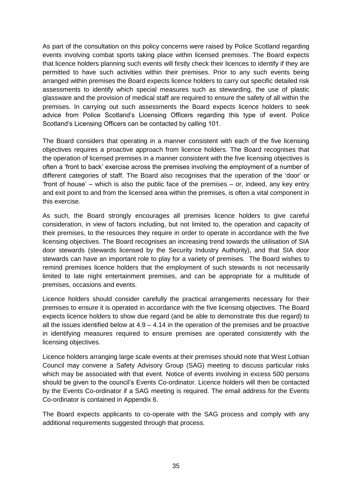As part of the consultation on this policy concerns were raised by Police Scotland regarding events involving combat sports taking place within licensed premises. The Board expects that licence holders planning such events will firstly check their licences to identify if they are permitted to have such activities within their premises. Prior to any such events being arranged within premises the Board expects licence holders to carry out specific detailed risk assessments to identify which special measures such as stewarding, the use of plastic glassware and the provision of medical staff are required to ensure the safety of all within the premises. In carrying out such assessments the Board expects licence holders to seek advice from Police Scotland's Licensing Officers regarding this type of event. Police Scotland's Licensing Officers can be contacted by calling 101.

The Board considers that operating in a manner consistent with each of the five licensing objectives requires a proactive approach from licence holders. The Board recognises that the operation of licensed premises in a manner consistent with the five licensing objectives is often a 'front to back' exercise across the premises involving the employment of a number of different categories of staff. The Board also recognises that the operation of the 'door' or 'front of house' – which is also the public face of the premises – or, indeed, any key entry and exit point to and from the licensed area within the premises, is often a vital component in this exercise.

As such, the Board strongly encourages all premises licence holders to give careful consideration, in view of factors including, but not limited to, the operation and capacity of their premises, to the resources they require in order to operate in accordance with the five licensing objectives. The Board recognises an increasing trend towards the utilisation of SIA door stewards (stewards licensed by the Security Industry Authority), and that SIA door stewards can have an important role to play for a variety of premises. The Board wishes to remind premises licence holders that the employment of such stewards is not necessarily limited to late night entertainment premises, and can be appropriate for a multitude of premises, occasions and events.

Licence holders should consider carefully the practical arrangements necessary for their premises to ensure it is operated in accordance with the five licensing objectives. The Board expects licence holders to show due regard (and be able to demonstrate this due regard) to all the issues identified below at  $4.9 - 4.14$  in the operation of the premises and be proactive in identifying measures required to ensure premises are operated consistently with the licensing objectives.

Licence holders arranging large scale events at their premises should note that West Lothian Council may convene a Safety Advisory Group (SAG) meeting to discuss particular risks which may be associated with that event. Notice of events involving in excess 500 persons should be given to the council's Events Co-ordinator. Licence holders will then be contacted by the Events Co-ordinator if a SAG meeting is required. The email address for the Events Co-ordinator is contained in Appendix 6.

The Board expects applicants to co-operate with the SAG process and comply with any additional requirements suggested through that process.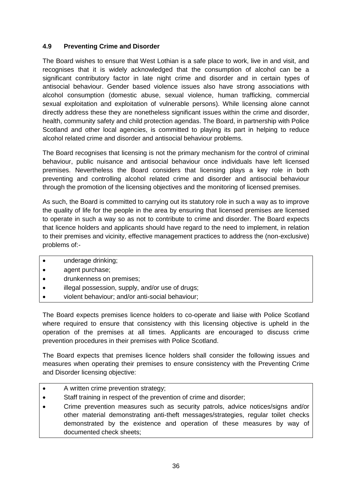#### **4.9 Preventing Crime and Disorder**

The Board wishes to ensure that West Lothian is a safe place to work, live in and visit, and recognises that it is widely acknowledged that the consumption of alcohol can be a significant contributory factor in late night crime and disorder and in certain types of antisocial behaviour. Gender based violence issues also have strong associations with alcohol consumption (domestic abuse, sexual violence, human trafficking, commercial sexual exploitation and exploitation of vulnerable persons). While licensing alone cannot directly address these they are nonetheless significant issues within the crime and disorder, health, community safety and child protection agendas. The Board, in partnership with Police Scotland and other local agencies, is committed to playing its part in helping to reduce alcohol related crime and disorder and antisocial behaviour problems.

The Board recognises that licensing is not the primary mechanism for the control of criminal behaviour, public nuisance and antisocial behaviour once individuals have left licensed premises. Nevertheless the Board considers that licensing plays a key role in both preventing and controlling alcohol related crime and disorder and antisocial behaviour through the promotion of the licensing objectives and the monitoring of licensed premises.

As such, the Board is committed to carrying out its statutory role in such a way as to improve the quality of life for the people in the area by ensuring that licensed premises are licensed to operate in such a way so as not to contribute to crime and disorder. The Board expects that licence holders and applicants should have regard to the need to implement, in relation to their premises and vicinity, effective management practices to address the (non-exclusive) problems of:-

- underage drinking;
- agent purchase:
- drunkenness on premises;
- illegal possession, supply, and/or use of drugs;
- violent behaviour; and/or anti-social behaviour;

The Board expects premises licence holders to co-operate and liaise with Police Scotland where required to ensure that consistency with this licensing objective is upheld in the operation of the premises at all times. Applicants are encouraged to discuss crime prevention procedures in their premises with Police Scotland.

The Board expects that premises licence holders shall consider the following issues and measures when operating their premises to ensure consistency with the Preventing Crime and Disorder licensing objective:

- A written crime prevention strategy;
- Staff training in respect of the prevention of crime and disorder;
- Crime prevention measures such as security patrols, advice notices/signs and/or other material demonstrating anti-theft messages/strategies, regular toilet checks demonstrated by the existence and operation of these measures by way of documented check sheets;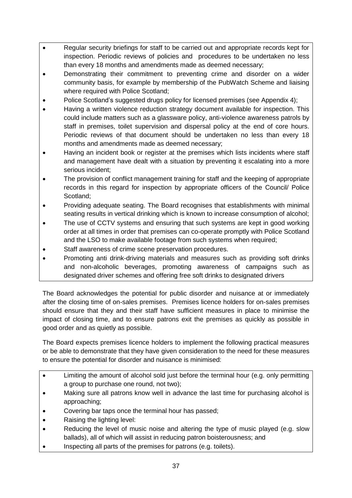- Regular security briefings for staff to be carried out and appropriate records kept for inspection. Periodic reviews of policies and procedures to be undertaken no less than every 18 months and amendments made as deemed necessary;
- Demonstrating their commitment to preventing crime and disorder on a wider community basis, for example by membership of the PubWatch Scheme and liaising where required with Police Scotland;
- Police Scotland's suggested drugs policy for licensed premises (see Appendix 4);
- Having a written violence reduction strategy document available for inspection. This could include matters such as a glassware policy, anti-violence awareness patrols by staff in premises, toilet supervision and dispersal policy at the end of core hours. Periodic reviews of that document should be undertaken no less than every 18 months and amendments made as deemed necessary;
- Having an incident book or register at the premises which lists incidents where staff and management have dealt with a situation by preventing it escalating into a more serious incident;
- The provision of conflict management training for staff and the keeping of appropriate records in this regard for inspection by appropriate officers of the Council/ Police Scotland;
- Providing adequate seating. The Board recognises that establishments with minimal seating results in vertical drinking which is known to increase consumption of alcohol;
- The use of CCTV systems and ensuring that such systems are kept in good working order at all times in order that premises can co-operate promptly with Police Scotland and the LSO to make available footage from such systems when required;
- Staff awareness of crime scene preservation procedures.
- Promoting anti drink-driving materials and measures such as providing soft drinks and non-alcoholic beverages, promoting awareness of campaigns such as designated driver schemes and offering free soft drinks to designated drivers

The Board acknowledges the potential for public disorder and nuisance at or immediately after the closing time of on-sales premises. Premises licence holders for on-sales premises should ensure that they and their staff have sufficient measures in place to minimise the impact of closing time, and to ensure patrons exit the premises as quickly as possible in good order and as quietly as possible.

The Board expects premises licence holders to implement the following practical measures or be able to demonstrate that they have given consideration to the need for these measures to ensure the potential for disorder and nuisance is minimised:

- Limiting the amount of alcohol sold just before the terminal hour (e.g. only permitting a group to purchase one round, not two);
- Making sure all patrons know well in advance the last time for purchasing alcohol is approaching;
- Covering bar taps once the terminal hour has passed;
- Raising the lighting level:
- Reducing the level of music noise and altering the type of music played (e.g. slow ballads), all of which will assist in reducing patron boisterousness; and
- Inspecting all parts of the premises for patrons (e.g. toilets).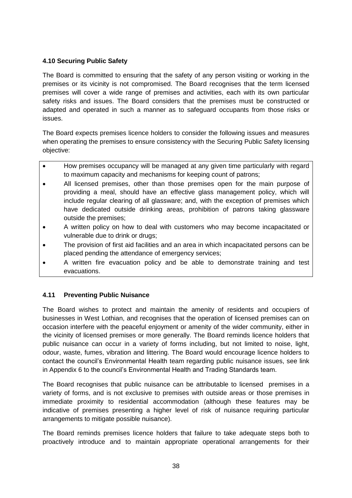# **4.10 Securing Public Safety**

The Board is committed to ensuring that the safety of any person visiting or working in the premises or its vicinity is not compromised. The Board recognises that the term licensed premises will cover a wide range of premises and activities, each with its own particular safety risks and issues. The Board considers that the premises must be constructed or adapted and operated in such a manner as to safeguard occupants from those risks or issues.

The Board expects premises licence holders to consider the following issues and measures when operating the premises to ensure consistency with the Securing Public Safety licensing objective:

- How premises occupancy will be managed at any given time particularly with regard to maximum capacity and mechanisms for keeping count of patrons;
- All licensed premises, other than those premises open for the main purpose of providing a meal, should have an effective glass management policy, which will include regular clearing of all glassware; and, with the exception of premises which have dedicated outside drinking areas, prohibition of patrons taking glassware outside the premises;
- A written policy on how to deal with customers who may become incapacitated or vulnerable due to drink or drugs;
- The provision of first aid facilities and an area in which incapacitated persons can be placed pending the attendance of emergency services;
- A written fire evacuation policy and be able to demonstrate training and test evacuations.

# **4.11 Preventing Public Nuisance**

The Board wishes to protect and maintain the amenity of residents and occupiers of businesses in West Lothian, and recognises that the operation of licensed premises can on occasion interfere with the peaceful enjoyment or amenity of the wider community, either in the vicinity of licensed premises or more generally. The Board reminds licence holders that public nuisance can occur in a variety of forms including, but not limited to noise, light, odour, waste, fumes, vibration and littering. The Board would encourage licence holders to contact the council's Environmental Health team regarding public nuisance issues, see link in Appendix 6 to the council's Environmental Health and Trading Standards team.

The Board recognises that public nuisance can be attributable to licensed premises in a variety of forms, and is not exclusive to premises with outside areas or those premises in immediate proximity to residential accommodation (although these features may be indicative of premises presenting a higher level of risk of nuisance requiring particular arrangements to mitigate possible nuisance).

The Board reminds premises licence holders that failure to take adequate steps both to proactively introduce and to maintain appropriate operational arrangements for their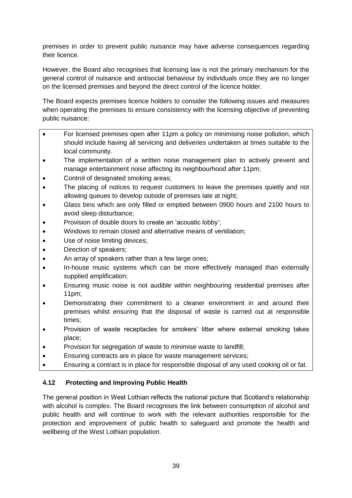premises in order to prevent public nuisance may have adverse consequences regarding their licence.

However, the Board also recognises that licensing law is not the primary mechanism for the general control of nuisance and antisocial behaviour by individuals once they are no longer on the licensed premises and beyond the direct control of the licence holder.

The Board expects premises licence holders to consider the following issues and measures when operating the premises to ensure consistency with the licensing objective of preventing public nuisance:

- For licensed premises open after 11pm a policy on minimising noise pollution, which should include having all servicing and deliveries undertaken at times suitable to the local community.
- The implementation of a written noise management plan to actively prevent and manage entertainment noise affecting its neighbourhood after 11pm;
- Control of designated smoking areas;
- The placing of notices to request customers to leave the premises quietly and not allowing queues to develop outside of premises late at night;
- Glass bins which are only filled or emptied between 0900 hours and 2100 hours to avoid sleep disturbance;
- Provision of double doors to create an 'acoustic lobby';
- Windows to remain closed and alternative means of ventilation;
- Use of noise limiting devices;
- Direction of speakers;
- An array of speakers rather than a few large ones;
- In-house music systems which can be more effectively managed than externally supplied amplification;
- Ensuring music noise is not audible within neighbouring residential premises after 11pm;
- Demonstrating their commitment to a cleaner environment in and around their premises whilst ensuring that the disposal of waste is carried out at responsible times;
- Provision of waste receptacles for smokers' litter where external smoking takes place;
- Provision for segregation of waste to minimise waste to landfill;
- Ensuring contracts are in place for waste management services;
- Ensuring a contract is in place for responsible disposal of any used cooking oil or fat.

# **4.12 Protecting and Improving Public Health**

The general position in West Lothian reflects the national picture that Scotland's relationship with alcohol is complex. The Board recognises the link between consumption of alcohol and public health and will continue to work with the relevant authorities responsible for the protection and improvement of public health to safeguard and promote the health and wellbeing of the West Lothian population.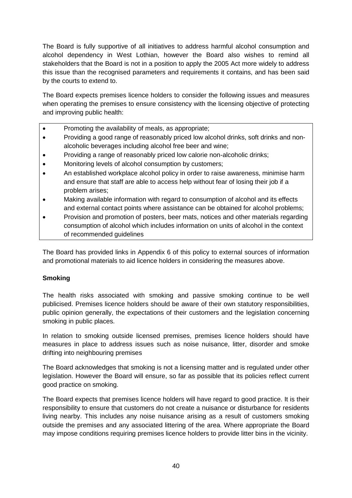The Board is fully supportive of all initiatives to address harmful alcohol consumption and alcohol dependency in West Lothian, however the Board also wishes to remind all stakeholders that the Board is not in a position to apply the 2005 Act more widely to address this issue than the recognised parameters and requirements it contains, and has been said by the courts to extend to.

The Board expects premises licence holders to consider the following issues and measures when operating the premises to ensure consistency with the licensing objective of protecting and improving public health:

- Promoting the availability of meals, as appropriate;
- Providing a good range of reasonably priced low alcohol drinks, soft drinks and nonalcoholic beverages including alcohol free beer and wine;
- Providing a range of reasonably priced low calorie non-alcoholic drinks;
- Monitoring levels of alcohol consumption by customers;
- An established workplace alcohol policy in order to raise awareness, minimise harm and ensure that staff are able to access help without fear of losing their job if a problem arises;
- Making available information with regard to consumption of alcohol and its effects and external contact points where assistance can be obtained for alcohol problems;
- Provision and promotion of posters, beer mats, notices and other materials regarding consumption of alcohol which includes information on units of alcohol in the context of recommended guidelines

The Board has provided links in Appendix 6 of this policy to external sources of information and promotional materials to aid licence holders in considering the measures above.

# **Smoking**

The health risks associated with smoking and passive smoking continue to be well publicised. Premises licence holders should be aware of their own statutory responsibilities, public opinion generally, the expectations of their customers and the legislation concerning smoking in public places.

In relation to smoking outside licensed premises, premises licence holders should have measures in place to address issues such as noise nuisance, litter, disorder and smoke drifting into neighbouring premises

The Board acknowledges that smoking is not a licensing matter and is regulated under other legislation. However the Board will ensure, so far as possible that its policies reflect current good practice on smoking.

The Board expects that premises licence holders will have regard to good practice. It is their responsibility to ensure that customers do not create a nuisance or disturbance for residents living nearby. This includes any noise nuisance arising as a result of customers smoking outside the premises and any associated littering of the area. Where appropriate the Board may impose conditions requiring premises licence holders to provide litter bins in the vicinity.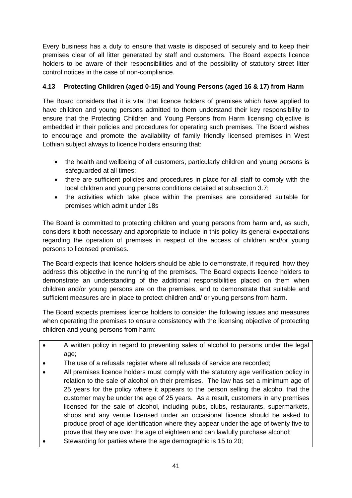Every business has a duty to ensure that waste is disposed of securely and to keep their premises clear of all litter generated by staff and customers. The Board expects licence holders to be aware of their responsibilities and of the possibility of statutory street litter control notices in the case of non-compliance.

# **4.13 Protecting Children (aged 0-15) and Young Persons (aged 16 & 17) from Harm**

The Board considers that it is vital that licence holders of premises which have applied to have children and young persons admitted to them understand their key responsibility to ensure that the Protecting Children and Young Persons from Harm licensing objective is embedded in their policies and procedures for operating such premises. The Board wishes to encourage and promote the availability of family friendly licensed premises in West Lothian subject always to licence holders ensuring that:

- the health and wellbeing of all customers, particularly children and young persons is safeguarded at all times;
- there are sufficient policies and procedures in place for all staff to comply with the local children and young persons conditions detailed at subsection 3.7;
- the activities which take place within the premises are considered suitable for premises which admit under 18s

The Board is committed to protecting children and young persons from harm and, as such, considers it both necessary and appropriate to include in this policy its general expectations regarding the operation of premises in respect of the access of children and/or young persons to licensed premises.

The Board expects that licence holders should be able to demonstrate, if required, how they address this objective in the running of the premises. The Board expects licence holders to demonstrate an understanding of the additional responsibilities placed on them when children and/or young persons are on the premises, and to demonstrate that suitable and sufficient measures are in place to protect children and/ or young persons from harm.

The Board expects premises licence holders to consider the following issues and measures when operating the premises to ensure consistency with the licensing objective of protecting children and young persons from harm:

- A written policy in regard to preventing sales of alcohol to persons under the legal age;
- The use of a refusals register where all refusals of service are recorded;
- All premises licence holders must comply with the statutory age verification policy in relation to the sale of alcohol on their premises. The law has set a minimum age of 25 years for the policy where it appears to the person selling the alcohol that the customer may be under the age of 25 years. As a result, customers in any premises licensed for the sale of alcohol, including pubs, clubs, restaurants, supermarkets, shops and any venue licensed under an occasional licence should be asked to produce proof of age identification where they appear under the age of twenty five to prove that they are over the age of eighteen and can lawfully purchase alcohol;
- Stewarding for parties where the age demographic is 15 to 20;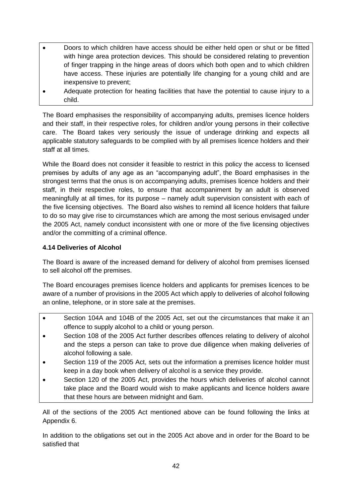- Doors to which children have access should be either held open or shut or be fitted with hinge area protection devices. This should be considered relating to prevention of finger trapping in the hinge areas of doors which both open and to which children have access. These injuries are potentially life changing for a young child and are inexpensive to prevent;
- Adequate protection for heating facilities that have the potential to cause injury to a child.

The Board emphasises the responsibility of accompanying adults, premises licence holders and their staff, in their respective roles, for children and/or young persons in their collective care. The Board takes very seriously the issue of underage drinking and expects all applicable statutory safeguards to be complied with by all premises licence holders and their staff at all times.

While the Board does not consider it feasible to restrict in this policy the access to licensed premises by adults of any age as an "accompanying adult", the Board emphasises in the strongest terms that the onus is on accompanying adults, premises licence holders and their staff, in their respective roles, to ensure that accompaniment by an adult is observed meaningfully at all times, for its purpose – namely adult supervision consistent with each of the five licensing objectives. The Board also wishes to remind all licence holders that failure to do so may give rise to circumstances which are among the most serious envisaged under the 2005 Act, namely conduct inconsistent with one or more of the five licensing objectives and/or the committing of a criminal offence.

# **4.14 Deliveries of Alcohol**

The Board is aware of the increased demand for delivery of alcohol from premises licensed to sell alcohol off the premises.

The Board encourages premises licence holders and applicants for premises licences to be aware of a number of provisions in the 2005 Act which apply to deliveries of alcohol following an online, telephone, or in store sale at the premises.

- Section 104A and 104B of the 2005 Act, set out the circumstances that make it an offence to supply alcohol to a child or young person.
- Section 108 of the 2005 Act further describes offences relating to delivery of alcohol and the steps a person can take to prove due diligence when making deliveries of alcohol following a sale.
- Section 119 of the 2005 Act, sets out the information a premises licence holder must keep in a day book when delivery of alcohol is a service they provide.
- Section 120 of the 2005 Act, provides the hours which deliveries of alcohol cannot take place and the Board would wish to make applicants and licence holders aware that these hours are between midnight and 6am.

All of the sections of the 2005 Act mentioned above can be found following the links at Appendix 6.

In addition to the obligations set out in the 2005 Act above and in order for the Board to be satisfied that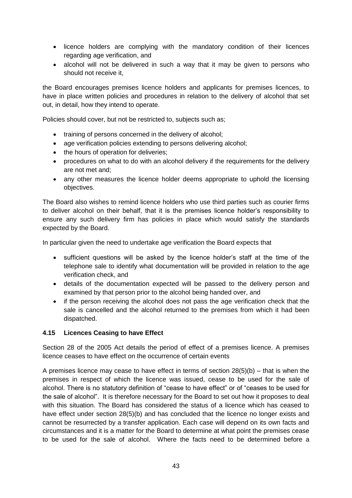- licence holders are complying with the mandatory condition of their licences regarding age verification, and
- alcohol will not be delivered in such a way that it may be given to persons who should not receive it,

the Board encourages premises licence holders and applicants for premises licences, to have in place written policies and procedures in relation to the delivery of alcohol that set out, in detail, how they intend to operate.

Policies should cover, but not be restricted to, subjects such as;

- training of persons concerned in the delivery of alcohol;
- age verification policies extending to persons delivering alcohol;
- the hours of operation for deliveries;
- procedures on what to do with an alcohol delivery if the requirements for the delivery are not met and;
- any other measures the licence holder deems appropriate to uphold the licensing objectives.

The Board also wishes to remind licence holders who use third parties such as courier firms to deliver alcohol on their behalf, that it is the premises licence holder's responsibility to ensure any such delivery firm has policies in place which would satisfy the standards expected by the Board.

In particular given the need to undertake age verification the Board expects that

- sufficient questions will be asked by the licence holder's staff at the time of the telephone sale to identify what documentation will be provided in relation to the age verification check, and
- details of the documentation expected will be passed to the delivery person and examined by that person prior to the alcohol being handed over, and
- if the person receiving the alcohol does not pass the age verification check that the sale is cancelled and the alcohol returned to the premises from which it had been dispatched.

# **4.15 Licences Ceasing to have Effect**

Section 28 of the 2005 Act details the period of effect of a premises licence. A premises licence ceases to have effect on the occurrence of certain events

A premises licence may cease to have effect in terms of section  $28(5)(b)$  – that is when the premises in respect of which the licence was issued, cease to be used for the sale of alcohol. There is no statutory definition of "cease to have effect" or of "ceases to be used for the sale of alcohol". It is therefore necessary for the Board to set out how it proposes to deal with this situation. The Board has considered the status of a licence which has ceased to have effect under section 28(5)(b) and has concluded that the licence no longer exists and cannot be resurrected by a transfer application. Each case will depend on its own facts and circumstances and it is a matter for the Board to determine at what point the premises cease to be used for the sale of alcohol. Where the facts need to be determined before a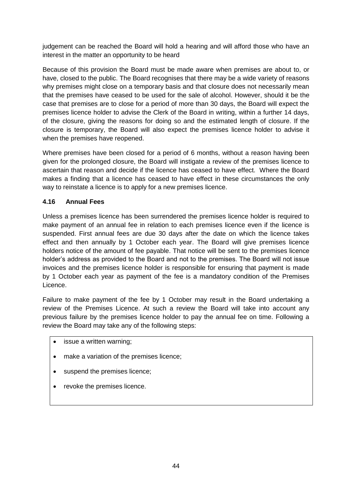judgement can be reached the Board will hold a hearing and will afford those who have an interest in the matter an opportunity to be heard

Because of this provision the Board must be made aware when premises are about to, or have, closed to the public. The Board recognises that there may be a wide variety of reasons why premises might close on a temporary basis and that closure does not necessarily mean that the premises have ceased to be used for the sale of alcohol. However, should it be the case that premises are to close for a period of more than 30 days, the Board will expect the premises licence holder to advise the Clerk of the Board in writing, within a further 14 days, of the closure, giving the reasons for doing so and the estimated length of closure. If the closure is temporary, the Board will also expect the premises licence holder to advise it when the premises have reopened.

Where premises have been closed for a period of 6 months, without a reason having been given for the prolonged closure, the Board will instigate a review of the premises licence to ascertain that reason and decide if the licence has ceased to have effect. Where the Board makes a finding that a licence has ceased to have effect in these circumstances the only way to reinstate a licence is to apply for a new premises licence.

# **4.16 Annual Fees**

Unless a premises licence has been surrendered the premises licence holder is required to make payment of an annual fee in relation to each premises licence even if the licence is suspended. First annual fees are due 30 days after the date on which the licence takes effect and then annually by 1 October each year. The Board will give premises licence holders notice of the amount of fee payable. That notice will be sent to the premises licence holder's address as provided to the Board and not to the premises. The Board will not issue invoices and the premises licence holder is responsible for ensuring that payment is made by 1 October each year as payment of the fee is a mandatory condition of the Premises Licence.

Failure to make payment of the fee by 1 October may result in the Board undertaking a review of the Premises Licence. At such a review the Board will take into account any previous failure by the premises licence holder to pay the annual fee on time. Following a review the Board may take any of the following steps:

- issue a written warning;
- make a variation of the premises licence;
- suspend the premises licence;
- revoke the premises licence.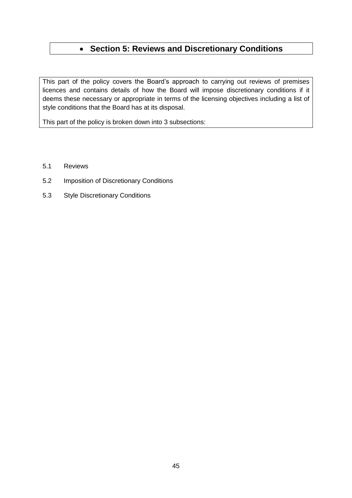# **Section 5: Reviews and Discretionary Conditions**

This part of the policy covers the Board's approach to carrying out reviews of premises licences and contains details of how the Board will impose discretionary conditions if it deems these necessary or appropriate in terms of the licensing objectives including a list of style conditions that the Board has at its disposal.

This part of the policy is broken down into 3 subsections:

- 5.1 Reviews
- 5.2 Imposition of Discretionary Conditions
- 5.3 Style Discretionary Conditions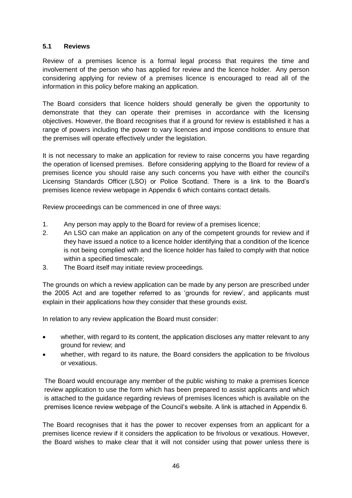# **5.1 Reviews**

Review of a premises licence is a formal legal process that requires the time and involvement of the person who has applied for review and the licence holder. Any person considering applying for review of a premises licence is encouraged to read all of the information in this policy before making an application.

The Board considers that licence holders should generally be given the opportunity to demonstrate that they can operate their premises in accordance with the licensing objectives. However, the Board recognises that if a ground for review is established it has a range of powers including the power to vary licences and impose conditions to ensure that the premises will operate effectively under the legislation.

It is not necessary to make an application for review to raise concerns you have regarding the operation of licensed premises. Before considering applying to the Board for review of a premises licence you should raise any such concerns you have with either the council's Licensing Standards Officer (LSO) or Police Scotland. There is a link to the Board's premises licence review webpage in Appendix 6 which contains contact details.

Review proceedings can be commenced in one of three ways:

- 1. Any person may apply to the Board for review of a premises licence;
- 2. An LSO can make an application on any of the competent grounds for review and if they have issued a notice to a licence holder identifying that a condition of the licence is not being complied with and the licence holder has failed to comply with that notice within a specified timescale;
- 3. The Board itself may initiate review proceedings.

The grounds on which a review application can be made by any person are prescribed under the 2005 Act and are together referred to as 'grounds for review', and applicants must explain in their applications how they consider that these grounds exist.

In relation to any review application the Board must consider:

- whether, with regard to its content, the application discloses any matter relevant to any ground for review; and
- whether, with regard to its nature, the Board considers the application to be frivolous or vexatious.

The Board would encourage any member of the public wishing to make a premises licence review application to use the form which has been prepared to assist applicants and which is attached to the guidance regarding reviews of premises licences which is available on the premises licence review webpage of the Council's website. A link is attached in Appendix 6.

The Board recognises that it has the power to recover expenses from an applicant for a premises licence review if it considers the application to be frivolous or vexatious. However, the Board wishes to make clear that it will not consider using that power unless there is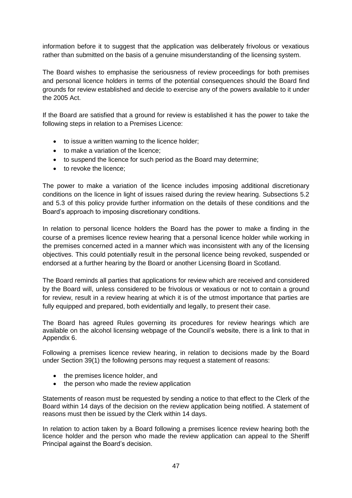information before it to suggest that the application was deliberately frivolous or vexatious rather than submitted on the basis of a genuine misunderstanding of the licensing system.

The Board wishes to emphasise the seriousness of review proceedings for both premises and personal licence holders in terms of the potential consequences should the Board find grounds for review established and decide to exercise any of the powers available to it under the 2005 Act.

If the Board are satisfied that a ground for review is established it has the power to take the following steps in relation to a Premises Licence:

- to issue a written warning to the licence holder;
- to make a variation of the licence:
- to suspend the licence for such period as the Board may determine;
- **to revoke the licence:**

The power to make a variation of the licence includes imposing additional discretionary conditions on the licence in light of issues raised during the review hearing. Subsections 5.2 and 5.3 of this policy provide further information on the details of these conditions and the Board's approach to imposing discretionary conditions.

In relation to personal licence holders the Board has the power to make a finding in the course of a premises licence review hearing that a personal licence holder while working in the premises concerned acted in a manner which was inconsistent with any of the licensing objectives. This could potentially result in the personal licence being revoked, suspended or endorsed at a further hearing by the Board or another Licensing Board in Scotland.

The Board reminds all parties that applications for review which are received and considered by the Board will, unless considered to be frivolous or vexatious or not to contain a ground for review, result in a review hearing at which it is of the utmost importance that parties are fully equipped and prepared, both evidentially and legally, to present their case.

The Board has agreed Rules governing its procedures for review hearings which are available on the alcohol licensing webpage of the Council's website, there is a link to that in Appendix 6.

Following a premises licence review hearing, in relation to decisions made by the Board under Section 39(1) the following persons may request a statement of reasons:

- the premises licence holder, and
- the person who made the review application

Statements of reason must be requested by sending a notice to that effect to the Clerk of the Board within 14 days of the decision on the review application being notified. A statement of reasons must then be issued by the Clerk within 14 days.

In relation to action taken by a Board following a premises licence review hearing both the licence holder and the person who made the review application can appeal to the Sheriff Principal against the Board's decision.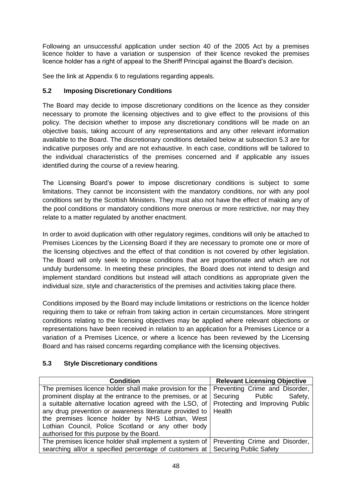Following an unsuccessful application under section 40 of the 2005 Act by a premises licence holder to have a variation or suspension of their licence revoked the premises licence holder has a right of appeal to the Sheriff Principal against the Board's decision.

See the link at Appendix 6 to regulations regarding appeals.

# **5.2 Imposing Discretionary Conditions**

The Board may decide to impose discretionary conditions on the licence as they consider necessary to promote the licensing objectives and to give effect to the provisions of this policy. The decision whether to impose any discretionary conditions will be made on an objective basis, taking account of any representations and any other relevant information available to the Board. The discretionary conditions detailed below at subsection 5.3 are for indicative purposes only and are not exhaustive. In each case, conditions will be tailored to the individual characteristics of the premises concerned and if applicable any issues identified during the course of a review hearing.

The Licensing Board's power to impose discretionary conditions is subject to some limitations. They cannot be inconsistent with the mandatory conditions, nor with any pool conditions set by the Scottish Ministers. They must also not have the effect of making any of the pool conditions or mandatory conditions more onerous or more restrictive, nor may they relate to a matter regulated by another enactment.

In order to avoid duplication with other regulatory regimes, conditions will only be attached to Premises Licences by the Licensing Board if they are necessary to promote one or more of the licensing objectives and the effect of that condition is not covered by other legislation. The Board will only seek to impose conditions that are proportionate and which are not unduly burdensome. In meeting these principles, the Board does not intend to design and implement standard conditions but instead will attach conditions as appropriate given the individual size, style and characteristics of the premises and activities taking place there.

Conditions imposed by the Board may include limitations or restrictions on the licence holder requiring them to take or refrain from taking action in certain circumstances. More stringent conditions relating to the licensing objectives may be applied where relevant objections or representations have been received in relation to an application for a Premises Licence or a variation of a Premises Licence, or where a licence has been reviewed by the Licensing Board and has raised concerns regarding compliance with the licensing objectives.

# **5.3 Style Discretionary conditions**

| <b>Condition</b>                                                               | <b>Relevant Licensing Objective</b> |
|--------------------------------------------------------------------------------|-------------------------------------|
| The premises licence holder shall make provision for the                       | Preventing Crime and Disorder,      |
| prominent display at the entrance to the premises, or at                       | Securing Public<br>Safety,          |
| a suitable alternative location agreed with the LSO, of                        | Protecting and Improving Public     |
| any drug prevention or awareness literature provided to   Health               |                                     |
| the premises licence holder by NHS Lothian, West                               |                                     |
| Lothian Council, Police Scotland or any other body                             |                                     |
| authorised for this purpose by the Board.                                      |                                     |
| The premises licence holder shall implement a system of                        | Preventing Crime and Disorder,      |
| searching all/or a specified percentage of customers at Securing Public Safety |                                     |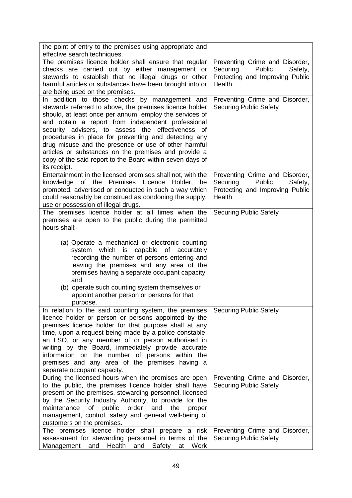| the point of entry to the premises using appropriate and                                                                                                                                                                                                                                                                                                                                                                                                                                                                           |                                                                                                              |
|------------------------------------------------------------------------------------------------------------------------------------------------------------------------------------------------------------------------------------------------------------------------------------------------------------------------------------------------------------------------------------------------------------------------------------------------------------------------------------------------------------------------------------|--------------------------------------------------------------------------------------------------------------|
| effective search techniques.                                                                                                                                                                                                                                                                                                                                                                                                                                                                                                       |                                                                                                              |
| The premises licence holder shall ensure that regular<br>checks are carried out by either management or<br>stewards to establish that no illegal drugs or other<br>harmful articles or substances have been brought into or<br>are being used on the premises.                                                                                                                                                                                                                                                                     | Preventing Crime and Disorder,<br>Securing<br>Public<br>Safety,<br>Protecting and Improving Public<br>Health |
| In addition to those checks by management and<br>stewards referred to above, the premises licence holder<br>should, at least once per annum, employ the services of<br>and obtain a report from independent professional<br>security advisers, to assess the effectiveness of<br>procedures in place for preventing and detecting any<br>drug misuse and the presence or use of other harmful<br>articles or substances on the premises and provide a<br>copy of the said report to the Board within seven days of<br>its receipt. | Preventing Crime and Disorder,<br><b>Securing Public Safety</b>                                              |
| Entertainment in the licensed premises shall not, with the<br>knowledge of the Premises Licence Holder, be<br>promoted, advertised or conducted in such a way which<br>could reasonably be construed as condoning the supply,<br>use or possession of illegal drugs.                                                                                                                                                                                                                                                               | Preventing Crime and Disorder,<br>Securing<br>Public<br>Safety,<br>Protecting and Improving Public<br>Health |
| The premises licence holder at all times when the<br>premises are open to the public during the permitted<br>hours shall:-                                                                                                                                                                                                                                                                                                                                                                                                         | <b>Securing Public Safety</b>                                                                                |
| (a) Operate a mechanical or electronic counting<br>system which is capable of accurately<br>recording the number of persons entering and<br>leaving the premises and any area of the<br>premises having a separate occupant capacity;<br>and<br>(b) operate such counting system themselves or<br>appoint another person or persons for that<br>purpose.                                                                                                                                                                           |                                                                                                              |
| In relation to the said counting system, the premises<br>licence holder or person or persons appointed by the<br>premises licence holder for that purpose shall at any<br>time, upon a request being made by a police constable,<br>an LSO, or any member of or person authorised in<br>writing by the Board, immediately provide accurate<br>information on the number of persons within the<br>premises and any area of the premises having a<br>separate occupant capacity.                                                     | <b>Securing Public Safety</b>                                                                                |
| During the licensed hours when the premises are open<br>to the public, the premises licence holder shall have<br>present on the premises, stewarding personnel, licensed<br>by the Security Industry Authority, to provide for the<br>maintenance<br>public<br>order<br>οf<br>and<br>the<br>proper<br>management, control, safety and general well-being of<br>customers on the premises.                                                                                                                                          | Preventing Crime and Disorder,<br><b>Securing Public Safety</b>                                              |
| The premises licence holder shall prepare a risk<br>assessment for stewarding personnel in terms of the<br>Work<br>Management<br>and<br>Health<br>Safety<br>and<br>at                                                                                                                                                                                                                                                                                                                                                              | Preventing Crime and Disorder,<br><b>Securing Public Safety</b>                                              |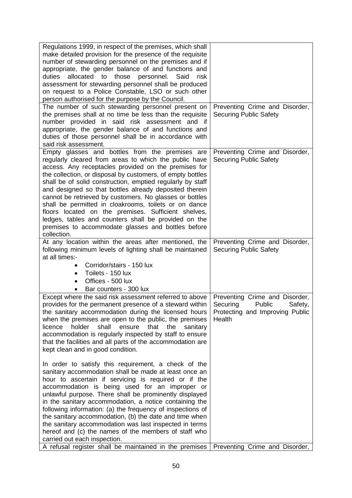| Regulations 1999, in respect of the premises, which shall<br>make detailed provision for the presence of the requisite<br>number of stewarding personnel on the premises and if<br>appropriate, the gender balance of and functions and<br>allocated<br>to those<br>personnel.<br>duties<br>Said<br>risk<br>assessment for stewarding personnel shall be produced<br>on request to a Police Constable, LSO or such other<br>person authorised for the purpose by the Council.                                                                                                                                                                                                   |                                                                                                              |
|---------------------------------------------------------------------------------------------------------------------------------------------------------------------------------------------------------------------------------------------------------------------------------------------------------------------------------------------------------------------------------------------------------------------------------------------------------------------------------------------------------------------------------------------------------------------------------------------------------------------------------------------------------------------------------|--------------------------------------------------------------------------------------------------------------|
| The number of such stewarding personnel present on<br>the premises shall at no time be less than the requisite<br>number provided in said risk assessment and if<br>appropriate, the gender balance of and functions and<br>duties of those personnel shall be in accordance with<br>said risk assessment.                                                                                                                                                                                                                                                                                                                                                                      | Preventing Crime and Disorder,<br><b>Securing Public Safety</b>                                              |
| Empty glasses and bottles from the premises are<br>regularly cleared from areas to which the public have<br>access. Any receptacles provided on the premises for<br>the collection, or disposal by customers, of empty bottles<br>shall be of solid construction, emptied regularly by staff<br>and designed so that bottles already deposited therein<br>cannot be retrieved by customers. No glasses or bottles<br>shall be permitted in cloakrooms, toilets or on dance<br>floors located on the premises. Sufficient shelves,<br>ledges, tables and counters shall be provided on the<br>premises to accommodate glasses and bottles before<br>collection.                  | Preventing Crime and Disorder,<br><b>Securing Public Safety</b>                                              |
| At any location within the areas after mentioned, the<br>following minimum levels of lighting shall be maintained<br>at all times:-<br>Corridor/stairs - 150 lux<br>Toilets - 150 lux<br>$\bullet$<br>Offices - 500 lux<br>$\bullet$<br>Bar counters - 300 lux                                                                                                                                                                                                                                                                                                                                                                                                                  | Preventing Crime and Disorder,<br><b>Securing Public Safety</b>                                              |
| Except where the said risk assessment referred to above<br>provides for the permanent presence of a steward within<br>the sanitary accommodation during the licensed hours<br>when the premises are open to the public, the premises<br>holder<br>shall<br>ensure<br>that<br>the<br>licence<br>sanitary<br>accommodation is regularly inspected by staff to ensure<br>that the facilities and all parts of the accommodation are<br>kept clean and in good condition.                                                                                                                                                                                                           | Preventing Crime and Disorder,<br>Securing<br>Public<br>Safety,<br>Protecting and Improving Public<br>Health |
| In order to satisfy this requirement, a check of the<br>sanitary accommodation shall be made at least once an<br>hour to ascertain if servicing is required or if the<br>accommodation is being used for an improper or<br>unlawful purpose. There shall be prominently displayed<br>in the sanitary accommodation, a notice containing the<br>following information: (a) the frequency of inspections of<br>the sanitary accommodation, (b) the date and time when<br>the sanitary accommodation was last inspected in terms<br>hereof and (c) the names of the members of staff who<br>carried out each inspection.<br>A refusal register shall be maintained in the premises | Preventing Crime and Disorder,                                                                               |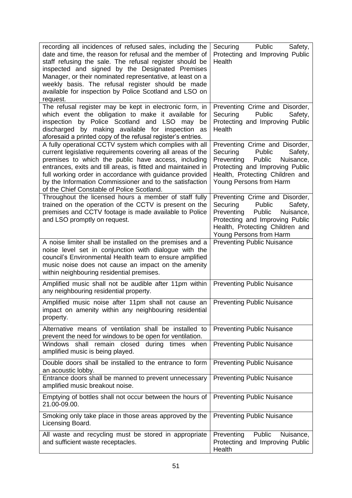| recording all incidences of refused sales, including the<br>date and time, the reason for refusal and the member of<br>staff refusing the sale. The refusal register should be<br>inspected and signed by the Designated Premises<br>Manager, or their nominated representative, at least on a<br>weekly basis. The refusal register should be made<br>available for inspection by Police Scotland and LSO on<br>request. | Securing<br>Public<br>Safety,<br>Protecting and Improving Public<br>Health                                                                                                                            |
|---------------------------------------------------------------------------------------------------------------------------------------------------------------------------------------------------------------------------------------------------------------------------------------------------------------------------------------------------------------------------------------------------------------------------|-------------------------------------------------------------------------------------------------------------------------------------------------------------------------------------------------------|
| The refusal register may be kept in electronic form, in<br>which event the obligation to make it available for<br>inspection by Police Scotland and LSO may<br>be<br>discharged by making available for inspection as<br>aforesaid a printed copy of the refusal register's entries.                                                                                                                                      | Preventing Crime and Disorder,<br>Securing<br>Public<br>Safety,<br>Protecting and Improving Public<br>Health                                                                                          |
| A fully operational CCTV system which complies with all<br>current legislative requirements covering all areas of the<br>premises to which the public have access, including<br>entrances, exits and till areas, is fitted and maintained in<br>full working order in accordance with guidance provided<br>by the Information Commissioner and to the satisfaction<br>of the Chief Constable of Police Scotland.          | Preventing Crime and Disorder,<br>Securing<br>Public<br>Safety,<br>Preventing<br>Nuisance,<br>Public<br>Protecting and Improving Public<br>Health, Protecting Children and<br>Young Persons from Harm |
| Throughout the licensed hours a member of staff fully<br>trained on the operation of the CCTV is present on the<br>premises and CCTV footage is made available to Police<br>and LSO promptly on request.                                                                                                                                                                                                                  | Preventing Crime and Disorder,<br>Securing<br>Public<br>Safety,<br>Preventing<br>Public<br>Nuisance,<br>Protecting and Improving Public<br>Health, Protecting Children and<br>Young Persons from Harm |
| A noise limiter shall be installed on the premises and a<br>noise level set in conjunction with dialogue with the<br>council's Environmental Health team to ensure amplified<br>music noise does not cause an impact on the amenity<br>within neighbouring residential premises.                                                                                                                                          | <b>Preventing Public Nuisance</b>                                                                                                                                                                     |
| Amplified music shall not be audible after 11pm within<br>any neighbouring residential property.                                                                                                                                                                                                                                                                                                                          | <b>Preventing Public Nuisance</b>                                                                                                                                                                     |
| Amplified music noise after 11pm shall not cause an<br>impact on amenity within any neighbouring residential<br>property.                                                                                                                                                                                                                                                                                                 | <b>Preventing Public Nuisance</b>                                                                                                                                                                     |
| Alternative means of ventilation shall be installed to<br>prevent the need for windows to be open for ventilation.                                                                                                                                                                                                                                                                                                        | <b>Preventing Public Nuisance</b>                                                                                                                                                                     |
| closed<br>Windows<br>shall<br>remain<br>during<br>times when<br>amplified music is being played.                                                                                                                                                                                                                                                                                                                          | <b>Preventing Public Nuisance</b>                                                                                                                                                                     |
| Double doors shall be installed to the entrance to form<br>an acoustic lobby.                                                                                                                                                                                                                                                                                                                                             | <b>Preventing Public Nuisance</b>                                                                                                                                                                     |
| Entrance doors shall be manned to prevent unnecessary<br>amplified music breakout noise.                                                                                                                                                                                                                                                                                                                                  | <b>Preventing Public Nuisance</b>                                                                                                                                                                     |
| Emptying of bottles shall not occur between the hours of<br>21.00-09.00.                                                                                                                                                                                                                                                                                                                                                  | <b>Preventing Public Nuisance</b>                                                                                                                                                                     |
| Smoking only take place in those areas approved by the<br>Licensing Board.                                                                                                                                                                                                                                                                                                                                                | <b>Preventing Public Nuisance</b>                                                                                                                                                                     |
| All waste and recycling must be stored in appropriate<br>and sufficient waste receptacles.                                                                                                                                                                                                                                                                                                                                | Public<br>Preventing<br>Nuisance,<br>Protecting and Improving Public<br>Health                                                                                                                        |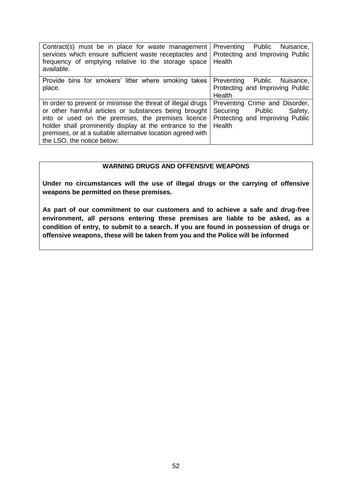| Contract(s) must be in place for waste management<br>services which ensure sufficient waste receptacles and<br>frequency of emptying relative to the storage space<br>available. | Preventing Public<br>Nuisance,<br>Protecting and Improving Public<br>Health                     |
|----------------------------------------------------------------------------------------------------------------------------------------------------------------------------------|-------------------------------------------------------------------------------------------------|
| Provide bins for smokers' litter where smoking takes<br>place.                                                                                                                   | Preventing Public<br>Nuisance,<br>Protecting and Improving Public<br>Health                     |
| In order to prevent or minimise the threat of illegal drugs<br>or other harmful articles or substances being brought<br>into or used on the premises, the premises licence       | Preventing Crime and Disorder,<br>Securing Public<br>Safety,<br>Protecting and Improving Public |
| holder shall prominently display at the entrance to the<br>premises, or at a suitable alternative location agreed with<br>the LSO, the notice below:                             | Health                                                                                          |

# **WARNING DRUGS AND OFFENSIVE WEAPONS**

**Under no circumstances will the use of illegal drugs or the carrying of offensive weapons be permitted on these premises.**

**As part of our commitment to our customers and to achieve a safe and drug**‐**free environment, all persons entering these premises are liable to be asked, as a condition of entry, to submit to a search. If you are found in possession of drugs or offensive weapons, these will be taken from you and the Police will be informed**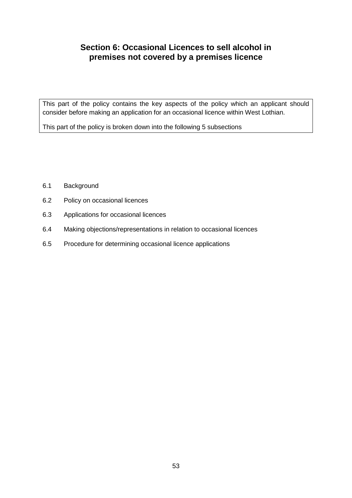# **Section 6: Occasional Licences to sell alcohol in premises not covered by a premises licence**

This part of the policy contains the key aspects of the policy which an applicant should consider before making an application for an occasional licence within West Lothian.

This part of the policy is broken down into the following 5 subsections

- 6.1 Background
- 6.2 Policy on occasional licences
- 6.3 Applications for occasional licences
- 6.4 Making objections/representations in relation to occasional licences
- 6.5 Procedure for determining occasional licence applications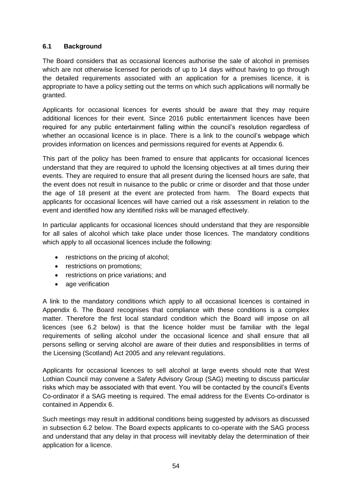# **6.1 Background**

The Board considers that as occasional licences authorise the sale of alcohol in premises which are not otherwise licensed for periods of up to 14 days without having to go through the detailed requirements associated with an application for a premises licence, it is appropriate to have a policy setting out the terms on which such applications will normally be granted.

Applicants for occasional licences for events should be aware that they may require additional licences for their event. Since 2016 public entertainment licences have been required for any public entertainment falling within the council's resolution regardless of whether an occasional licence is in place. There is a link to the council's webpage which provides information on licences and permissions required for events at Appendix 6.

This part of the policy has been framed to ensure that applicants for occasional licences understand that they are required to uphold the licensing objectives at all times during their events. They are required to ensure that all present during the licensed hours are safe, that the event does not result in nuisance to the public or crime or disorder and that those under the age of 18 present at the event are protected from harm. The Board expects that applicants for occasional licences will have carried out a risk assessment in relation to the event and identified how any identified risks will be managed effectively.

In particular applicants for occasional licences should understand that they are responsible for all sales of alcohol which take place under those licences. The mandatory conditions which apply to all occasional licences include the following:

- restrictions on the pricing of alcohol;
- restrictions on promotions:
- restrictions on price variations; and
- age verification

A link to the mandatory conditions which apply to all occasional licences is contained in Appendix 6. The Board recognises that compliance with these conditions is a complex matter. Therefore the first local standard condition which the Board will impose on all licences (see 6.2 below) is that the licence holder must be familiar with the legal requirements of selling alcohol under the occasional licence and shall ensure that all persons selling or serving alcohol are aware of their duties and responsibilities in terms of the Licensing (Scotland) Act 2005 and any relevant regulations.

Applicants for occasional licences to sell alcohol at large events should note that West Lothian Council may convene a Safety Advisory Group (SAG) meeting to discuss particular risks which may be associated with that event. You will be contacted by the council's Events Co-ordinator if a SAG meeting is required. The email address for the Events Co-ordinator is contained in Appendix 6.

Such meetings may result in additional conditions being suggested by advisors as discussed in subsection 6.2 below. The Board expects applicants to co-operate with the SAG process and understand that any delay in that process will inevitably delay the determination of their application for a licence.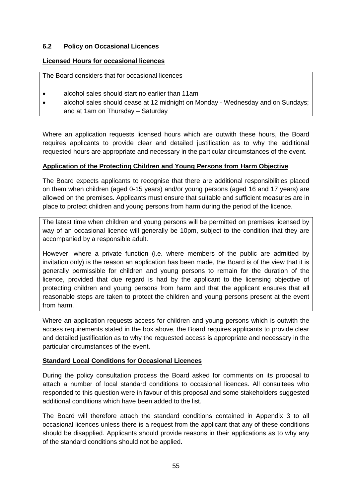## **6.2 Policy on Occasional Licences**

## **Licensed Hours for occasional licences**

The Board considers that for occasional licences

- alcohol sales should start no earlier than 11am
- alcohol sales should cease at 12 midnight on Monday Wednesday and on Sundays; and at 1am on Thursday – Saturday

Where an application requests licensed hours which are outwith these hours, the Board requires applicants to provide clear and detailed justification as to why the additional requested hours are appropriate and necessary in the particular circumstances of the event.

## **Application of the Protecting Children and Young Persons from Harm Objective**

The Board expects applicants to recognise that there are additional responsibilities placed on them when children (aged 0-15 years) and/or young persons (aged 16 and 17 years) are allowed on the premises. Applicants must ensure that suitable and sufficient measures are in place to protect children and young persons from harm during the period of the licence.

The latest time when children and young persons will be permitted on premises licensed by way of an occasional licence will generally be 10pm, subject to the condition that they are accompanied by a responsible adult.

However, where a private function (i.e. where members of the public are admitted by invitation only) is the reason an application has been made, the Board is of the view that it is generally permissible for children and young persons to remain for the duration of the licence, provided that due regard is had by the applicant to the licensing objective of protecting children and young persons from harm and that the applicant ensures that all reasonable steps are taken to protect the children and young persons present at the event from harm.

Where an application requests access for children and young persons which is outwith the access requirements stated in the box above, the Board requires applicants to provide clear and detailed justification as to why the requested access is appropriate and necessary in the particular circumstances of the event.

#### **Standard Local Conditions for Occasional Licences**

During the policy consultation process the Board asked for comments on its proposal to attach a number of local standard conditions to occasional licences. All consultees who responded to this question were in favour of this proposal and some stakeholders suggested additional conditions which have been added to the list.

The Board will therefore attach the standard conditions contained in Appendix 3 to all occasional licences unless there is a request from the applicant that any of these conditions should be disapplied. Applicants should provide reasons in their applications as to why any of the standard conditions should not be applied.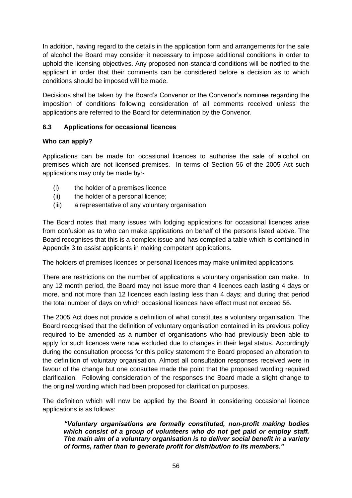In addition, having regard to the details in the application form and arrangements for the sale of alcohol the Board may consider it necessary to impose additional conditions in order to uphold the licensing objectives. Any proposed non-standard conditions will be notified to the applicant in order that their comments can be considered before a decision as to which conditions should be imposed will be made.

Decisions shall be taken by the Board's Convenor or the Convenor's nominee regarding the imposition of conditions following consideration of all comments received unless the applications are referred to the Board for determination by the Convenor.

# **6.3 Applications for occasional licences**

## **Who can apply?**

Applications can be made for occasional licences to authorise the sale of alcohol on premises which are not licensed premises. In terms of Section 56 of the 2005 Act such applications may only be made by:-

- (i) the holder of a premises licence
- (ii) the holder of a personal licence;
- (iii) a representative of any voluntary organisation

The Board notes that many issues with lodging applications for occasional licences arise from confusion as to who can make applications on behalf of the persons listed above. The Board recognises that this is a complex issue and has compiled a table which is contained in Appendix 3 to assist applicants in making competent applications.

The holders of premises licences or personal licences may make unlimited applications.

There are restrictions on the number of applications a voluntary organisation can make. In any 12 month period, the Board may not issue more than 4 licences each lasting 4 days or more, and not more than 12 licences each lasting less than 4 days; and during that period the total number of days on which occasional licences have effect must not exceed 56.

The 2005 Act does not provide a definition of what constitutes a voluntary organisation. The Board recognised that the definition of voluntary organisation contained in its previous policy required to be amended as a number of organisations who had previously been able to apply for such licences were now excluded due to changes in their legal status. Accordingly during the consultation process for this policy statement the Board proposed an alteration to the definition of voluntary organisation. Almost all consultation responses received were in favour of the change but one consultee made the point that the proposed wording required clarification. Following consideration of the responses the Board made a slight change to the original wording which had been proposed for clarification purposes.

The definition which will now be applied by the Board in considering occasional licence applications is as follows:

*"Voluntary organisations are formally constituted, non-profit making bodies which consist of a group of volunteers who do not get paid or employ staff. The main aim of a voluntary organisation is to deliver social benefit in a variety of forms, rather than to generate profit for distribution to its members."*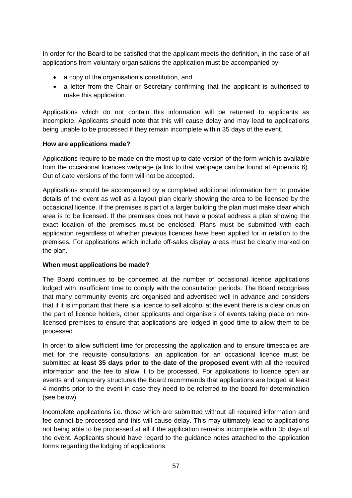In order for the Board to be satisfied that the applicant meets the definition, in the case of all applications from voluntary organisations the application must be accompanied by:

- a copy of the organisation's constitution, and
- a letter from the Chair or Secretary confirming that the applicant is authorised to make this application.

Applications which do not contain this information will be returned to applicants as incomplete. Applicants should note that this will cause delay and may lead to applications being unable to be processed if they remain incomplete within 35 days of the event.

## **How are applications made?**

Applications require to be made on the most up to date version of the form which is available from the occasional licences webpage (a link to that webpage can be found at Appendix 6). Out of date versions of the form will not be accepted.

Applications should be accompanied by a completed additional information form to provide details of the event as well as a layout plan clearly showing the area to be licensed by the occasional licence. If the premises is part of a larger building the plan must make clear which area is to be licensed. If the premises does not have a postal address a plan showing the exact location of the premises must be enclosed. Plans must be submitted with each application regardless of whether previous licences have been applied for in relation to the premises. For applications which include off-sales display areas must be clearly marked on the plan.

#### **When must applications be made?**

The Board continues to be concerned at the number of occasional licence applications lodged with insufficient time to comply with the consultation periods. The Board recognises that many community events are organised and advertised well in advance and considers that if it is important that there is a licence to sell alcohol at the event there is a clear onus on the part of licence holders, other applicants and organisers of events taking place on nonlicensed premises to ensure that applications are lodged in good time to allow them to be processed.

In order to allow sufficient time for processing the application and to ensure timescales are met for the requisite consultations, an application for an occasional licence must be submitted **at least 35 days prior to the date of the proposed event** with all the required information and the fee to allow it to be processed. For applications to licence open air events and temporary structures the Board recommends that applications are lodged at least 4 months prior to the event in case they need to be referred to the board for determination (see below).

Incomplete applications i.e. those which are submitted without all required information and fee cannot be processed and this will cause delay. This may ultimately lead to applications not being able to be processed at all if the application remains incomplete within 35 days of the event. Applicants should have regard to the guidance notes attached to the application forms regarding the lodging of applications.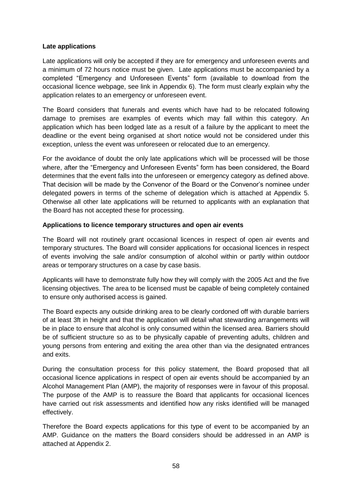## **Late applications**

Late applications will only be accepted if they are for emergency and unforeseen events and a minimum of 72 hours notice must be given. Late applications must be accompanied by a completed "Emergency and Unforeseen Events" form (available to download from the occasional licence webpage, see link in Appendix 6). The form must clearly explain why the application relates to an emergency or unforeseen event.

The Board considers that funerals and events which have had to be relocated following damage to premises are examples of events which may fall within this category. An application which has been lodged late as a result of a failure by the applicant to meet the deadline or the event being organised at short notice would not be considered under this exception, unless the event was unforeseen or relocated due to an emergency.

For the avoidance of doubt the only late applications which will be processed will be those where, after the "Emergency and Unforeseen Events" form has been considered, the Board determines that the event falls into the unforeseen or emergency category as defined above. That decision will be made by the Convenor of the Board or the Convenor's nominee under delegated powers in terms of the scheme of delegation which is attached at Appendix 5. Otherwise all other late applications will be returned to applicants with an explanation that the Board has not accepted these for processing.

#### **Applications to licence temporary structures and open air events**

The Board will not routinely grant occasional licences in respect of open air events and temporary structures. The Board will consider applications for occasional licences in respect of events involving the sale and/or consumption of alcohol within or partly within outdoor areas or temporary structures on a case by case basis.

Applicants will have to demonstrate fully how they will comply with the 2005 Act and the five licensing objectives. The area to be licensed must be capable of being completely contained to ensure only authorised access is gained.

The Board expects any outside drinking area to be clearly cordoned off with durable barriers of at least 3ft in height and that the application will detail what stewarding arrangements will be in place to ensure that alcohol is only consumed within the licensed area. Barriers should be of sufficient structure so as to be physically capable of preventing adults, children and young persons from entering and exiting the area other than via the designated entrances and exits.

During the consultation process for this policy statement, the Board proposed that all occasional licence applications in respect of open air events should be accompanied by an Alcohol Management Plan (AMP), the majority of responses were in favour of this proposal. The purpose of the AMP is to reassure the Board that applicants for occasional licences have carried out risk assessments and identified how any risks identified will be managed effectively.

Therefore the Board expects applications for this type of event to be accompanied by an AMP. Guidance on the matters the Board considers should be addressed in an AMP is attached at Appendix 2.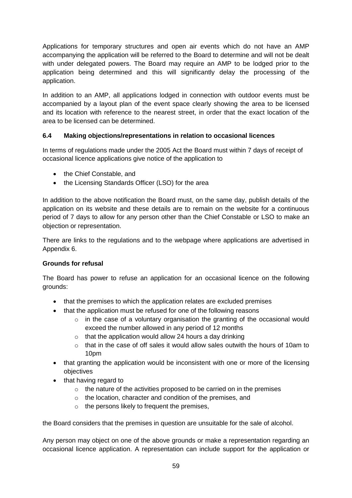Applications for temporary structures and open air events which do not have an AMP accompanying the application will be referred to the Board to determine and will not be dealt with under delegated powers. The Board may require an AMP to be lodged prior to the application being determined and this will significantly delay the processing of the application.

In addition to an AMP, all applications lodged in connection with outdoor events must be accompanied by a layout plan of the event space clearly showing the area to be licensed and its location with reference to the nearest street, in order that the exact location of the area to be licensed can be determined.

# **6.4 Making objections/representations in relation to occasional licences**

In terms of regulations made under the 2005 Act the Board must within 7 days of receipt of occasional licence applications give notice of the application to

- the Chief Constable, and
- the Licensing Standards Officer (LSO) for the area

In addition to the above notification the Board must, on the same day, publish details of the application on its website and these details are to remain on the website for a continuous period of 7 days to allow for any person other than the Chief Constable or LSO to make an objection or representation.

There are links to the regulations and to the webpage where applications are advertised in Appendix 6.

# **Grounds for refusal**

The Board has power to refuse an application for an occasional licence on the following grounds:

- that the premises to which the application relates are excluded premises
- that the application must be refused for one of the following reasons
	- $\circ$  in the case of a voluntary organisation the granting of the occasional would exceed the number allowed in any period of 12 months
	- $\circ$  that the application would allow 24 hours a day drinking
	- $\circ$  that in the case of off sales it would allow sales outwith the hours of 10am to 10pm
- that granting the application would be inconsistent with one or more of the licensing objectives
- that having regard to
	- $\circ$  the nature of the activities proposed to be carried on in the premises
	- o the location, character and condition of the premises, and
	- $\circ$  the persons likely to frequent the premises,

the Board considers that the premises in question are unsuitable for the sale of alcohol.

Any person may object on one of the above grounds or make a representation regarding an occasional licence application. A representation can include support for the application or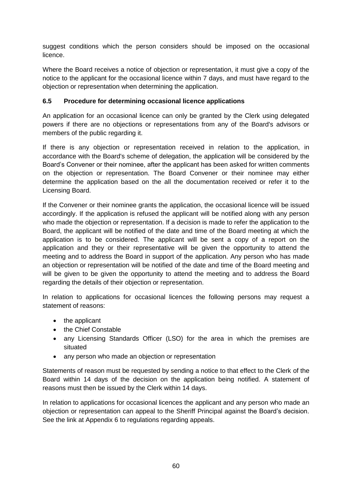suggest conditions which the person considers should be imposed on the occasional licence.

Where the Board receives a notice of objection or representation, it must give a copy of the notice to the applicant for the occasional licence within 7 days, and must have regard to the objection or representation when determining the application.

# **6.5 Procedure for determining occasional licence applications**

An application for an occasional licence can only be granted by the Clerk using delegated powers if there are no objections or representations from any of the Board's advisors or members of the public regarding it.

If there is any objection or representation received in relation to the application, in accordance with the Board's scheme of delegation, the application will be considered by the Board's Convener or their nominee, after the applicant has been asked for written comments on the objection or representation. The Board Convener or their nominee may either determine the application based on the all the documentation received or refer it to the Licensing Board.

If the Convener or their nominee grants the application, the occasional licence will be issued accordingly. If the application is refused the applicant will be notified along with any person who made the objection or representation. If a decision is made to refer the application to the Board, the applicant will be notified of the date and time of the Board meeting at which the application is to be considered. The applicant will be sent a copy of a report on the application and they or their representative will be given the opportunity to attend the meeting and to address the Board in support of the application. Any person who has made an objection or representation will be notified of the date and time of the Board meeting and will be given to be given the opportunity to attend the meeting and to address the Board regarding the details of their objection or representation.

In relation to applications for occasional licences the following persons may request a statement of reasons:

- the applicant
- the Chief Constable
- any Licensing Standards Officer (LSO) for the area in which the premises are situated
- any person who made an objection or representation

Statements of reason must be requested by sending a notice to that effect to the Clerk of the Board within 14 days of the decision on the application being notified. A statement of reasons must then be issued by the Clerk within 14 days.

In relation to applications for occasional licences the applicant and any person who made an objection or representation can appeal to the Sheriff Principal against the Board's decision. See the link at Appendix 6 to regulations regarding appeals.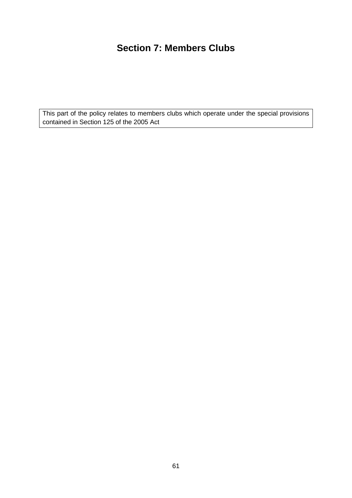# **Section 7: Members Clubs**

This part of the policy relates to members clubs which operate under the special provisions contained in Section 125 of the 2005 Act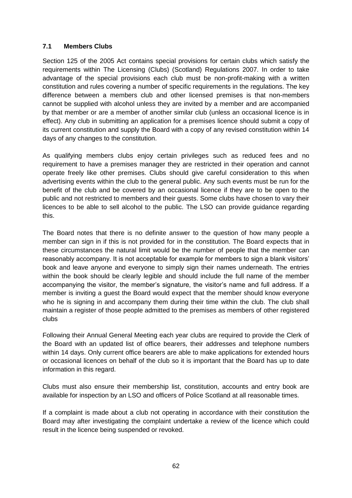# **7.1 Members Clubs**

Section 125 of the 2005 Act contains special provisions for certain clubs which satisfy the requirements within The Licensing (Clubs) (Scotland) Regulations 2007. In order to take advantage of the special provisions each club must be non-profit-making with a written constitution and rules covering a number of specific requirements in the regulations. The key difference between a members club and other licensed premises is that non-members cannot be supplied with alcohol unless they are invited by a member and are accompanied by that member or are a member of another similar club (unless an occasional licence is in effect). Any club in submitting an application for a premises licence should submit a copy of its current constitution and supply the Board with a copy of any revised constitution within 14 days of any changes to the constitution.

As qualifying members clubs enjoy certain privileges such as reduced fees and no requirement to have a premises manager they are restricted in their operation and cannot operate freely like other premises. Clubs should give careful consideration to this when advertising events within the club to the general public. Any such events must be run for the benefit of the club and be covered by an occasional licence if they are to be open to the public and not restricted to members and their guests. Some clubs have chosen to vary their licences to be able to sell alcohol to the public. The LSO can provide guidance regarding this.

The Board notes that there is no definite answer to the question of how many people a member can sign in if this is not provided for in the constitution. The Board expects that in these circumstances the natural limit would be the number of people that the member can reasonably accompany. It is not acceptable for example for members to sign a blank visitors' book and leave anyone and everyone to simply sign their names underneath. The entries within the book should be clearly legible and should include the full name of the member accompanying the visitor, the member's signature, the visitor's name and full address. If a member is inviting a guest the Board would expect that the member should know everyone who he is signing in and accompany them during their time within the club. The club shall maintain a register of those people admitted to the premises as members of other registered clubs

Following their Annual General Meeting each year clubs are required to provide the Clerk of the Board with an updated list of office bearers, their addresses and telephone numbers within 14 days. Only current office bearers are able to make applications for extended hours or occasional licences on behalf of the club so it is important that the Board has up to date information in this regard.

Clubs must also ensure their membership list, constitution, accounts and entry book are available for inspection by an LSO and officers of Police Scotland at all reasonable times.

If a complaint is made about a club not operating in accordance with their constitution the Board may after investigating the complaint undertake a review of the licence which could result in the licence being suspended or revoked.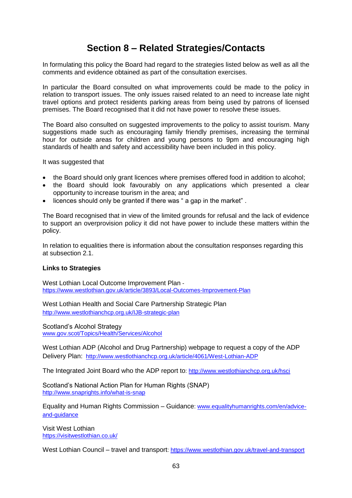# **Section 8 – Related Strategies/Contacts**

In formulating this policy the Board had regard to the strategies listed below as well as all the comments and evidence obtained as part of the consultation exercises.

In particular the Board consulted on what improvements could be made to the policy in relation to transport issues. The only issues raised related to an need to increase late night travel options and protect residents parking areas from being used by patrons of licensed premises. The Board recognised that it did not have power to resolve these issues.

The Board also consulted on suggested improvements to the policy to assist tourism. Many suggestions made such as encouraging family friendly premises, increasing the terminal hour for outside areas for children and young persons to 9pm and encouraging high standards of health and safety and accessibility have been included in this policy.

It was suggested that

- the Board should only grant licences where premises offered food in addition to alcohol;
- the Board should look favourably on any applications which presented a clear opportunity to increase tourism in the area; and
- licences should only be granted if there was " a gap in the market" .

The Board recognised that in view of the limited grounds for refusal and the lack of evidence to support an overprovision policy it did not have power to include these matters within the policy.

In relation to equalities there is information about the consultation responses regarding this at subsection 2.1.

#### **Links to Strategies**

West Lothian Local Outcome Improvement Plan <https://www.westlothian.gov.uk/article/3893/Local-Outcomes-Improvement-Plan>

West Lothian Health and Social Care Partnership Strategic Plan <http://www.westlothianchcp.org.uk/IJB-strategic-plan>

Scotland's Alcohol Strategy [www.gov.scot/Topics/Health/Services/Alcohol](http://www.gov.scot/Topics/Health/Services/Alcohol)

West Lothian ADP (Alcohol and Drug Partnership) webpage to request a copy of the ADP Delivery Plan: <http://www.westlothianchcp.org.uk/article/4061/West-Lothian-ADP>

The Integrated Joint Board who the ADP report to:<http://www.westlothianchcp.org.uk/hsci>

Scotland's National Action Plan for Human Rights (SNAP) <http://www.snaprights.info/what-is-snap>

Equality and Human Rights Commission – Guidance: [www.equalityhumanrights.com/en/advice](http://www.equalityhumanrights.com/en/advice-and-guidance)[and-guidance](http://www.equalityhumanrights.com/en/advice-and-guidance)

Visit West Lothian <https://visitwestlothian.co.uk/>

West Lothian Council – travel and transport: <https://www.westlothian.gov.uk/travel-and-transport>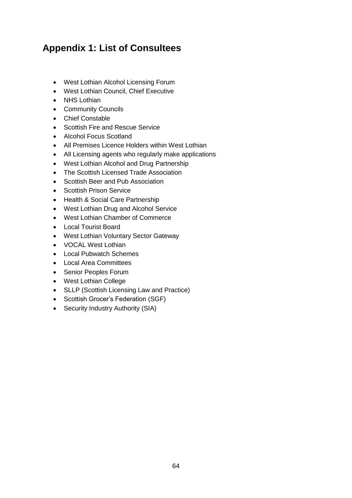# **Appendix 1: List of Consultees**

- West Lothian Alcohol Licensing Forum
- West Lothian Council, Chief Executive
- NHS Lothian
- Community Councils
- Chief Constable
- Scottish Fire and Rescue Service
- Alcohol Focus Scotland
- All Premises Licence Holders within West Lothian
- All Licensing agents who regularly make applications
- West Lothian Alcohol and Drug Partnership
- The Scottish Licensed Trade Association
- Scottish Beer and Pub Association
- **•** Scottish Prison Service
- Health & Social Care Partnership
- West Lothian Drug and Alcohol Service
- West Lothian Chamber of Commerce
- Local Tourist Board
- West Lothian Voluntary Sector Gateway
- VOCAL West Lothian
- Local Pubwatch Schemes
- Local Area Committees
- Senior Peoples Forum
- West Lothian College
- SLLP (Scottish Licensing Law and Practice)
- Scottish Grocer's Federation (SGF)
- Security Industry Authority (SIA)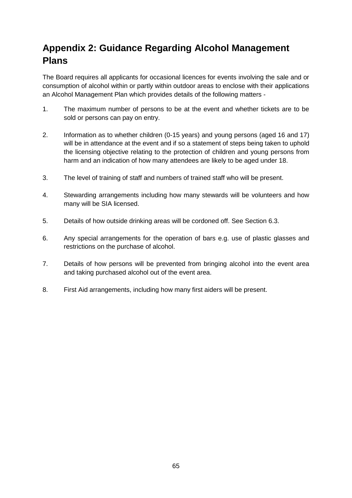# **Appendix 2: Guidance Regarding Alcohol Management Plans**

The Board requires all applicants for occasional licences for events involving the sale and or consumption of alcohol within or partly within outdoor areas to enclose with their applications an Alcohol Management Plan which provides details of the following matters -

- 1. The maximum number of persons to be at the event and whether tickets are to be sold or persons can pay on entry.
- 2. Information as to whether children (0-15 years) and young persons (aged 16 and 17) will be in attendance at the event and if so a statement of steps being taken to uphold the licensing objective relating to the protection of children and young persons from harm and an indication of how many attendees are likely to be aged under 18.
- 3. The level of training of staff and numbers of trained staff who will be present.
- 4. Stewarding arrangements including how many stewards will be volunteers and how many will be SIA licensed.
- 5. Details of how outside drinking areas will be cordoned off. See Section 6.3.
- 6. Any special arrangements for the operation of bars e.g. use of plastic glasses and restrictions on the purchase of alcohol.
- 7. Details of how persons will be prevented from bringing alcohol into the event area and taking purchased alcohol out of the event area.
- 8. First Aid arrangements, including how many first aiders will be present.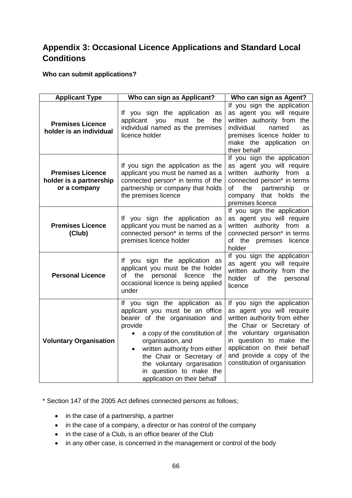# **Appendix 3: Occasional Licence Applications and Standard Local Conditions**

# **Who can submit applications?**

| <b>Applicant Type</b>                                              | Who can sign as Applicant?                                                                                                                                                                                                                                                                                                              | Who can sign as Agent?                                                                                                                                                                                                                                                      |
|--------------------------------------------------------------------|-----------------------------------------------------------------------------------------------------------------------------------------------------------------------------------------------------------------------------------------------------------------------------------------------------------------------------------------|-----------------------------------------------------------------------------------------------------------------------------------------------------------------------------------------------------------------------------------------------------------------------------|
| <b>Premises Licence</b><br>holder is an individual                 | If you sign the application as<br>applicant you<br>must<br>be<br>the<br>individual named as the premises<br>licence holder                                                                                                                                                                                                              | If you sign the application<br>as agent you will require<br>written authority from the<br>individual<br>named<br>as<br>premises licence holder to<br>make the application on<br>their behalf                                                                                |
| <b>Premises Licence</b><br>holder is a partnership<br>or a company | If you sign the application as the<br>applicant you must be named as a<br>connected person <sup>*</sup> in terms of the<br>partnership or company that holds<br>the premises licence                                                                                                                                                    | If you sign the application<br>as agent you will require<br>written authority from a<br>connected person* in terms<br>partnership<br>of<br>the<br><b>or</b><br>company that holds the<br>premises licence                                                                   |
| <b>Premises Licence</b><br>(Club)                                  | If you sign the application as<br>applicant you must be named as a<br>connected person* in terms of the<br>premises licence holder                                                                                                                                                                                                      | If you sign the application<br>as agent you will require<br>written authority from a<br>connected person* in terms<br>of the premises licence<br>holder                                                                                                                     |
| <b>Personal Licence</b>                                            | If you sign the application as<br>applicant you must be the holder<br>of the<br>personal<br>licence<br>the<br>occasional licence is being applied<br>under                                                                                                                                                                              | If you sign the application<br>as agent you will require<br>written authority from the<br>holder<br>of<br>the<br>personal<br>licence                                                                                                                                        |
| <b>Voluntary Organisation</b>                                      | If you sign the application as<br>applicant you must be an office<br>bearer of the organisation and<br>provide<br>a copy of the constitution of<br>organisation, and<br>written authority from either<br>$\bullet$<br>the Chair or Secretary of<br>the voluntary organisation<br>in question to make the<br>application on their behalf | If you sign the application<br>as agent you will require<br>written authority from either<br>the Chair or Secretary of<br>the voluntary organisation<br>in question to make the<br>application on their behalf<br>and provide a copy of the<br>constitution of organisation |

\* Section 147 of the 2005 Act defines connected persons as follows;

- in the case of a partnership, a partner
- in the case of a company, a director or has control of the company
- in the case of a Club, is an office bearer of the Club
- in any other case, is concerned in the management or control of the body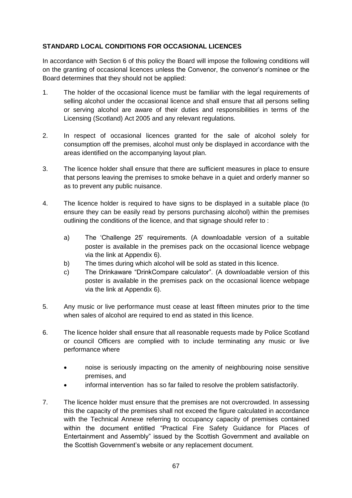# **STANDARD LOCAL CONDITIONS FOR OCCASIONAL LICENCES**

In accordance with Section 6 of this policy the Board will impose the following conditions will on the granting of occasional licences unless the Convenor, the convenor's nominee or the Board determines that they should not be applied:

- 1. The holder of the occasional licence must be familiar with the legal requirements of selling alcohol under the occasional licence and shall ensure that all persons selling or serving alcohol are aware of their duties and responsibilities in terms of the Licensing (Scotland) Act 2005 and any relevant regulations.
- 2. In respect of occasional licences granted for the sale of alcohol solely for consumption off the premises, alcohol must only be displayed in accordance with the areas identified on the accompanying layout plan.
- 3. The licence holder shall ensure that there are sufficient measures in place to ensure that persons leaving the premises to smoke behave in a quiet and orderly manner so as to prevent any public nuisance.
- 4. The licence holder is required to have signs to be displayed in a suitable place (to ensure they can be easily read by persons purchasing alcohol) within the premises outlining the conditions of the licence, and that signage should refer to :
	- a) The 'Challenge 25' requirements. (A downloadable version of a suitable poster is available in the premises pack on the occasional licence webpage via the link at Appendix 6).
	- b) The times during which alcohol will be sold as stated in this licence.
	- c) The Drinkaware "DrinkCompare calculator". (A downloadable version of this poster is available in the premises pack on the occasional licence webpage via the link at Appendix 6).
- 5. Any music or live performance must cease at least fifteen minutes prior to the time when sales of alcohol are required to end as stated in this licence.
- 6. The licence holder shall ensure that all reasonable requests made by Police Scotland or council Officers are complied with to include terminating any music or live performance where
	- noise is seriously impacting on the amenity of neighbouring noise sensitive premises, and
	- informal intervention has so far failed to resolve the problem satisfactorily.
- 7. The licence holder must ensure that the premises are not overcrowded. In assessing this the capacity of the premises shall not exceed the figure calculated in accordance with the Technical Annexe referring to occupancy capacity of premises contained within the document entitled "Practical Fire Safety Guidance for Places of Entertainment and Assembly" issued by the Scottish Government and available on the Scottish Government's website or any replacement document.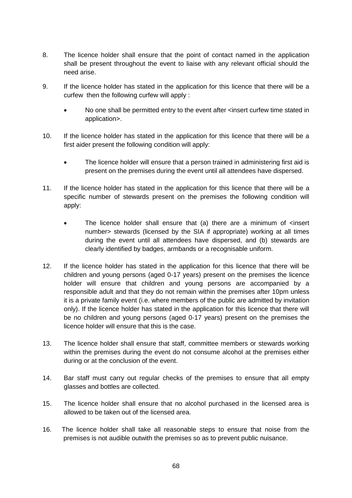- 8. The licence holder shall ensure that the point of contact named in the application shall be present throughout the event to liaise with any relevant official should the need arise.
- 9. If the licence holder has stated in the application for this licence that there will be a curfew then the following curfew will apply :
	- No one shall be permitted entry to the event after <insert curfew time stated in application>.
- 10. If the licence holder has stated in the application for this licence that there will be a first aider present the following condition will apply:
	- The licence holder will ensure that a person trained in administering first aid is present on the premises during the event until all attendees have dispersed.
- 11. If the licence holder has stated in the application for this licence that there will be a specific number of stewards present on the premises the following condition will apply:
	- The licence holder shall ensure that (a) there are a minimum of <insert number> stewards (licensed by the SIA if appropriate) working at all times during the event until all attendees have dispersed, and (b) stewards are clearly identified by badges, armbands or a recognisable uniform.
- 12. If the licence holder has stated in the application for this licence that there will be children and young persons (aged 0-17 years) present on the premises the licence holder will ensure that children and young persons are accompanied by a responsible adult and that they do not remain within the premises after 10pm unless it is a private family event (i.e. where members of the public are admitted by invitation only). If the licence holder has stated in the application for this licence that there will be no children and young persons (aged 0-17 years) present on the premises the licence holder will ensure that this is the case.
- 13. The licence holder shall ensure that staff, committee members or stewards working within the premises during the event do not consume alcohol at the premises either during or at the conclusion of the event.
- 14. Bar staff must carry out regular checks of the premises to ensure that all empty glasses and bottles are collected.
- 15. The licence holder shall ensure that no alcohol purchased in the licensed area is allowed to be taken out of the licensed area.
- 16. The licence holder shall take all reasonable steps to ensure that noise from the premises is not audible outwith the premises so as to prevent public nuisance.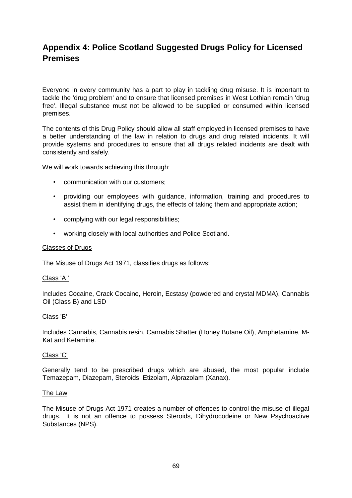# **Appendix 4: Police Scotland Suggested Drugs Policy for Licensed Premises**

Everyone in every community has a part to play in tackling drug misuse. It is important to tackle the 'drug problem' and to ensure that licensed premises in West Lothian remain 'drug free'. Illegal substance must not be allowed to be supplied or consumed within licensed premises.

The contents of this Drug Policy should allow all staff employed in licensed premises to have a better understanding of the law in relation to drugs and drug related incidents. It will provide systems and procedures to ensure that all drugs related incidents are dealt with consistently and safely.

We will work towards achieving this through:

- communication with our customers;
- providing our employees with guidance, information, training and procedures to assist them in identifying drugs, the effects of taking them and appropriate action;
- complying with our legal responsibilities;
- working closely with local authorities and Police Scotland.

#### Classes of Drugs

The Misuse of Drugs Act 1971, classifies drugs as follows:

#### Class 'A '

Includes Cocaine, Crack Cocaine, Heroin, Ecstasy (powdered and crystal MDMA), Cannabis Oil (Class B) and LSD

#### Class 'B'

Includes Cannabis, Cannabis resin, Cannabis Shatter (Honey Butane Oil), Amphetamine, M-Kat and Ketamine.

#### Class 'C'

Generally tend to be prescribed drugs which are abused, the most popular include Temazepam, Diazepam, Steroids, Etizolam, Alprazolam (Xanax).

#### The Law

The Misuse of Drugs Act 1971 creates a number of offences to control the misuse of illegal drugs. It is not an offence to possess Steroids, Dihydrocodeine or New Psychoactive Substances (NPS).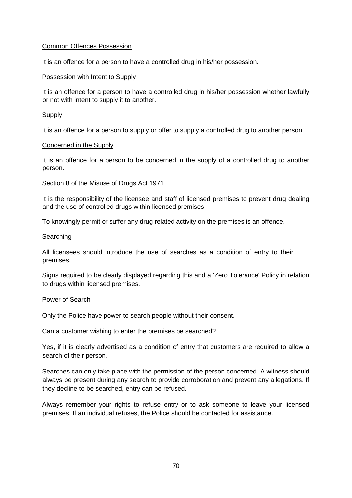#### Common Offences Possession

It is an offence for a person to have a controlled drug in his/her possession.

#### Possession with Intent to Supply

It is an offence for a person to have a controlled drug in his/her possession whether lawfully or not with intent to supply it to another.

#### **Supply**

It is an offence for a person to supply or offer to supply a controlled drug to another person.

#### Concerned in the Supply

It is an offence for a person to be concerned in the supply of a controlled drug to another person.

Section 8 of the Misuse of Drugs Act 1971

It is the responsibility of the licensee and staff of licensed premises to prevent drug dealing and the use of controlled drugs within licensed premises.

To knowingly permit or suffer any drug related activity on the premises is an offence.

#### **Searching**

All licensees should introduce the use of searches as a condition of entry to their premises.

Signs required to be clearly displayed regarding this and a 'Zero Tolerance' Policy in relation to drugs within licensed premises.

#### Power of Search

Only the Police have power to search people without their consent.

Can a customer wishing to enter the premises be searched?

Yes, if it is clearly advertised as a condition of entry that customers are required to allow a search of their person.

Searches can only take place with the permission of the person concerned. A witness should always be present during any search to provide corroboration and prevent any allegations. If they decline to be searched, entry can be refused.

Always remember your rights to refuse entry or to ask someone to leave your licensed premises. If an individual refuses, the Police should be contacted for assistance.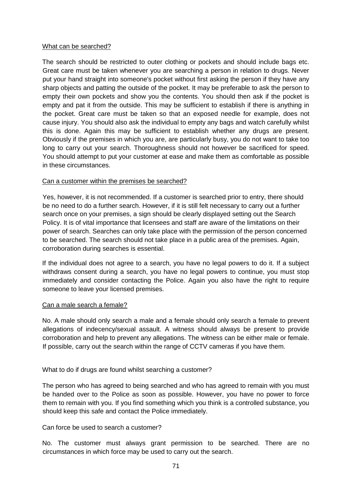#### What can be searched?

The search should be restricted to outer clothing or pockets and should include bags etc. Great care must be taken whenever you are searching a person in relation to drugs. Never put your hand straight into someone's pocket without first asking the person if they have any sharp objects and patting the outside of the pocket. It may be preferable to ask the person to empty their own pockets and show you the contents. You should then ask if the pocket is empty and pat it from the outside. This may be sufficient to establish if there is anything in the pocket. Great care must be taken so that an exposed needle for example, does not cause injury. You should also ask the individual to empty any bags and watch carefully whilst this is done. Again this may be sufficient to establish whether any drugs are present. Obviously if the premises in which you are, are particularly busy, you do not want to take too long to carry out your search. Thoroughness should not however be sacrificed for speed. You should attempt to put your customer at ease and make them as comfortable as possible in these circumstances.

#### Can a customer within the premises be searched?

Yes, however, it is not recommended. If a customer is searched prior to entry, there should be no need to do a further search. However, if it is still felt necessary to carry out a further search once on your premises, a sign should be clearly displayed setting out the Search Policy. It is of vital importance that licensees and staff are aware of the limitations on their power of search. Searches can only take place with the permission of the person concerned to be searched. The search should not take place in a public area of the premises. Again, corroboration during searches is essential.

If the individual does not agree to a search, you have no legal powers to do it. If a subject withdraws consent during a search, you have no legal powers to continue, you must stop immediately and consider contacting the Police. Again you also have the right to require someone to leave your licensed premises.

#### Can a male search a female?

No. A male should only search a male and a female should only search a female to prevent allegations of indecency/sexual assault. A witness should always be present to provide corroboration and help to prevent any allegations. The witness can be either male or female. If possible, carry out the search within the range of CCTV cameras if you have them.

#### What to do if drugs are found whilst searching a customer?

The person who has agreed to being searched and who has agreed to remain with you must be handed over to the Police as soon as possible. However, you have no power to force them to remain with you. If you find something which you think is a controlled substance, you should keep this safe and contact the Police immediately.

#### Can force be used to search a customer?

No. The customer must always grant permission to be searched. There are no circumstances in which force may be used to carry out the search.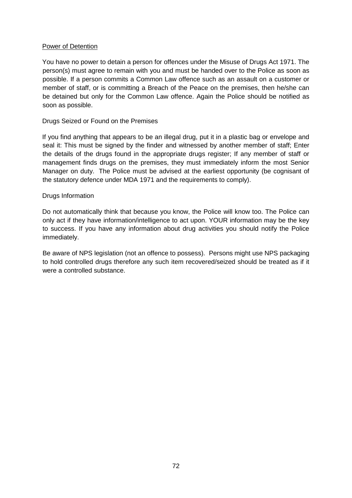#### Power of Detention

You have no power to detain a person for offences under the Misuse of Drugs Act 1971. The person(s) must agree to remain with you and must be handed over to the Police as soon as possible. If a person commits a Common Law offence such as an assault on a customer or member of staff, or is committing a Breach of the Peace on the premises, then he/she can be detained but only for the Common Law offence. Again the Police should be notified as soon as possible.

#### Drugs Seized or Found on the Premises

If you find anything that appears to be an illegal drug, put it in a plastic bag or envelope and seal it: This must be signed by the finder and witnessed by another member of staff; Enter the details of the drugs found in the appropriate drugs register; If any member of staff or management finds drugs on the premises, they must immediately inform the most Senior Manager on duty. The Police must be advised at the earliest opportunity (be cognisant of the statutory defence under MDA 1971 and the requirements to comply).

#### Drugs Information

Do not automatically think that because you know, the Police will know too. The Police can only act if they have information/intelligence to act upon. YOUR information may be the key to success. If you have any information about drug activities you should notify the Police immediately.

Be aware of NPS legislation (not an offence to possess). Persons might use NPS packaging to hold controlled drugs therefore any such item recovered/seized should be treated as if it were a controlled substance.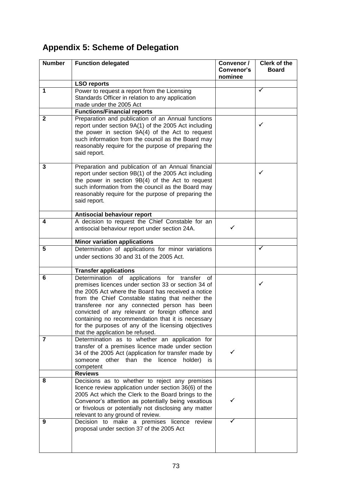# **Appendix 5: Scheme of Delegation**

| <b>Number</b> | <b>Function delegated</b>                                                                                  | Convenor /<br><b>Convenor's</b> | <b>Clerk of the</b><br><b>Board</b> |
|---------------|------------------------------------------------------------------------------------------------------------|---------------------------------|-------------------------------------|
|               |                                                                                                            | nominee                         |                                     |
|               | <b>LSO reports</b>                                                                                         |                                 |                                     |
| $\mathbf 1$   | Power to request a report from the Licensing                                                               |                                 | ✓                                   |
|               | Standards Officer in relation to any application                                                           |                                 |                                     |
|               | made under the 2005 Act                                                                                    |                                 |                                     |
|               | <b>Functions/Financial reports</b>                                                                         |                                 |                                     |
| $\mathbf{2}$  | Preparation and publication of an Annual functions                                                         |                                 |                                     |
|               | report under section 9A(1) of the 2005 Act including                                                       |                                 | ✓                                   |
|               | the power in section 9A(4) of the Act to request                                                           |                                 |                                     |
|               | such information from the council as the Board may                                                         |                                 |                                     |
|               | reasonably require for the purpose of preparing the<br>said report.                                        |                                 |                                     |
|               |                                                                                                            |                                 |                                     |
| 3             | Preparation and publication of an Annual financial                                                         |                                 |                                     |
|               | report under section 9B(1) of the 2005 Act including                                                       |                                 | ✓                                   |
|               | the power in section 9B(4) of the Act to request                                                           |                                 |                                     |
|               | such information from the council as the Board may                                                         |                                 |                                     |
|               | reasonably require for the purpose of preparing the                                                        |                                 |                                     |
|               | said report.                                                                                               |                                 |                                     |
|               |                                                                                                            |                                 |                                     |
| 4             | Antisocial behaviour report                                                                                |                                 |                                     |
|               | A decision to request the Chief Constable for an<br>antisocial behaviour report under section 24A.         | ✓                               |                                     |
|               |                                                                                                            |                                 |                                     |
|               | <b>Minor variation applications</b>                                                                        |                                 |                                     |
| 5             | Determination of applications for minor variations                                                         |                                 | ✓                                   |
|               | under sections 30 and 31 of the 2005 Act.                                                                  |                                 |                                     |
|               |                                                                                                            |                                 |                                     |
|               | <b>Transfer applications</b>                                                                               |                                 |                                     |
| 6             | Determination of applications for transfer of                                                              |                                 |                                     |
|               | premises licences under section 33 or section 34 of                                                        |                                 | ✓                                   |
|               | the 2005 Act where the Board has received a notice                                                         |                                 |                                     |
|               | from the Chief Constable stating that neither the                                                          |                                 |                                     |
|               | transferee nor any connected person has been<br>convicted of any relevant or foreign offence and           |                                 |                                     |
|               | containing no recommendation that it is necessary                                                          |                                 |                                     |
|               | for the purposes of any of the licensing objectives                                                        |                                 |                                     |
|               | that the application be refused.                                                                           |                                 |                                     |
| 7             | Determination as to whether an application for                                                             |                                 |                                     |
|               | transfer of a premises licence made under section                                                          |                                 |                                     |
|               | 34 of the 2005 Act (application for transfer made by                                                       |                                 |                                     |
|               | someone other than the licence<br>holder)<br>İS.                                                           |                                 |                                     |
|               | competent                                                                                                  |                                 |                                     |
|               | <b>Reviews</b>                                                                                             |                                 |                                     |
| 8             | Decisions as to whether to reject any premises                                                             |                                 |                                     |
|               | licence review application under section 36(6) of the                                                      |                                 |                                     |
|               | 2005 Act which the Clerk to the Board brings to the<br>Convenor's attention as potentially being vexatious |                                 |                                     |
|               | or frivolous or potentially not disclosing any matter                                                      |                                 |                                     |
|               | relevant to any ground of review.                                                                          |                                 |                                     |
| 9             | Decision to make a premises licence review                                                                 |                                 |                                     |
|               | proposal under section 37 of the 2005 Act                                                                  |                                 |                                     |
|               |                                                                                                            |                                 |                                     |
|               |                                                                                                            |                                 |                                     |
|               |                                                                                                            |                                 |                                     |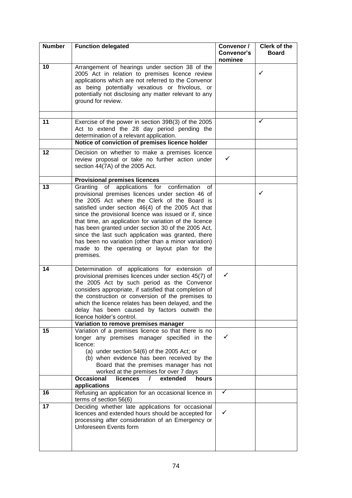| <b>Number</b> | <b>Function delegated</b>                                                                                                                                                                                                                                                                                                                                                                                                                                                                                                                                      | Convenor /<br>Convenor's<br>nominee | Clerk of the<br><b>Board</b> |
|---------------|----------------------------------------------------------------------------------------------------------------------------------------------------------------------------------------------------------------------------------------------------------------------------------------------------------------------------------------------------------------------------------------------------------------------------------------------------------------------------------------------------------------------------------------------------------------|-------------------------------------|------------------------------|
| 10            | Arrangement of hearings under section 38 of the<br>2005 Act in relation to premises licence review<br>applications which are not referred to the Convenor<br>as being potentially vexatious or frivolous, or<br>potentially not disclosing any matter relevant to any<br>ground for review.                                                                                                                                                                                                                                                                    |                                     | ✓                            |
| 11            | Exercise of the power in section 39B(3) of the 2005<br>Act to extend the 28 day period pending the<br>determination of a relevant application.                                                                                                                                                                                                                                                                                                                                                                                                                 |                                     | ✓                            |
|               | Notice of conviction of premises licence holder                                                                                                                                                                                                                                                                                                                                                                                                                                                                                                                |                                     |                              |
| 12            | Decision on whether to make a premises licence<br>review proposal or take no further action under<br>section 44(7A) of the 2005 Act.                                                                                                                                                                                                                                                                                                                                                                                                                           | ✓                                   |                              |
|               | <b>Provisional premises licences</b>                                                                                                                                                                                                                                                                                                                                                                                                                                                                                                                           |                                     |                              |
| 13            | Granting of applications for confirmation<br>of<br>provisional premises licences under section 46 of<br>the 2005 Act where the Clerk of the Board is<br>satisfied under section 46(4) of the 2005 Act that<br>since the provisional licence was issued or if, since<br>that time, an application for variation of the licence<br>has been granted under section 30 of the 2005 Act,<br>since the last such application was granted, there<br>has been no variation (other than a minor variation)<br>made to the operating or layout plan for the<br>premises. |                                     | ✓                            |
| 14            | Determination of applications for extension of<br>provisional premises licences under section 45(7) of<br>the 2005 Act by such period as the Convenor<br>considers appropriate, if satisfied that completion of<br>the construction or conversion of the premises to<br>which the licence relates has been delayed, and the<br>delay has been caused by factors outwith the<br>licence holder's control.                                                                                                                                                       | ✓                                   |                              |
|               | Variation to remove premises manager                                                                                                                                                                                                                                                                                                                                                                                                                                                                                                                           |                                     |                              |
| 15            | Variation of a premises licence so that there is no<br>longer any premises manager specified in the<br>licence:<br>(a) under section $54(6)$ of the 2005 Act; or<br>(b) when evidence has been received by the<br>Board that the premises manager has not<br>worked at the premises for over 7 days                                                                                                                                                                                                                                                            | ✓                                   |                              |
|               | <b>Occasional</b><br><b>licences</b><br>extended<br>$\prime$<br>hours                                                                                                                                                                                                                                                                                                                                                                                                                                                                                          |                                     |                              |
| 16            | applications<br>Refusing an application for an occasional licence in<br>terms of section 56(6)                                                                                                                                                                                                                                                                                                                                                                                                                                                                 | ✓                                   |                              |
| 17            | Deciding whether late applications for occasional<br>licences and extended hours should be accepted for<br>processing after consideration of an Emergency or<br>Unforeseen Events form                                                                                                                                                                                                                                                                                                                                                                         | $\checkmark$                        |                              |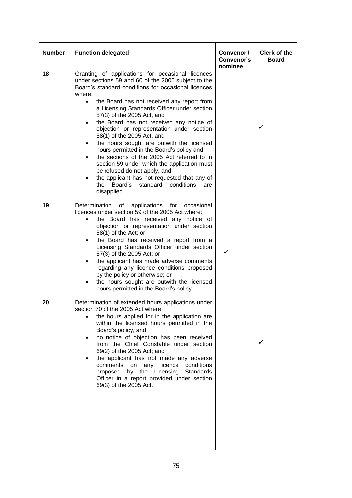| <b>Number</b> | <b>Function delegated</b>                                                                                                                                                                                                                                                                                                                                                                                                                                                                                                                                                                                                                                                                                                                                                                    | Convenor /<br>Convenor's<br>nominee | <b>Clerk of the</b><br><b>Board</b> |
|---------------|----------------------------------------------------------------------------------------------------------------------------------------------------------------------------------------------------------------------------------------------------------------------------------------------------------------------------------------------------------------------------------------------------------------------------------------------------------------------------------------------------------------------------------------------------------------------------------------------------------------------------------------------------------------------------------------------------------------------------------------------------------------------------------------------|-------------------------------------|-------------------------------------|
| 18            | Granting of applications for occasional licences<br>under sections 59 and 60 of the 2005 subject to the<br>Board's standard conditions for occasional licences<br>where:<br>the Board has not received any report from<br>$\bullet$<br>a Licensing Standards Officer under section<br>57(3) of the 2005 Act, and<br>the Board has not received any notice of<br>$\bullet$<br>objection or representation under section<br>58(1) of the 2005 Act, and<br>the hours sought are outwith the licensed<br>hours permitted in the Board's policy and<br>the sections of the 2005 Act referred to in<br>section 59 under which the application must<br>be refused do not apply, and<br>the applicant has not requested that any of<br>the<br>Board's<br>standard<br>conditions<br>are<br>disapplied |                                     | ✓                                   |
| 19            | Determination of applications<br>for<br>occasional<br>licences under section 59 of the 2005 Act where:<br>the Board has received any notice of<br>objection or representation under section<br>$58(1)$ of the Act; or<br>the Board has received a report from a<br>$\bullet$<br>Licensing Standards Officer under section<br>57(3) of the 2005 Act; or<br>the applicant has made adverse comments<br>regarding any licence conditions proposed<br>by the policy or otherwise; or<br>the hours sought are outwith the licensed<br>hours permitted in the Board's policy                                                                                                                                                                                                                       | ✓                                   |                                     |
| 20            | Determination of extended hours applications under<br>section 70 of the 2005 Act where<br>the hours applied for in the application are<br>within the licensed hours permitted in the<br>Board's policy, and<br>no notice of objection has been received<br>from the Chief Constable under section<br>69(2) of the 2005 Act; and<br>the applicant has not made any adverse<br>licence<br>conditions<br>comments<br>on<br>any<br>by the Licensing Standards<br>proposed<br>Officer in a report provided under section<br>69(3) of the 2005 Act.                                                                                                                                                                                                                                                |                                     | ✓                                   |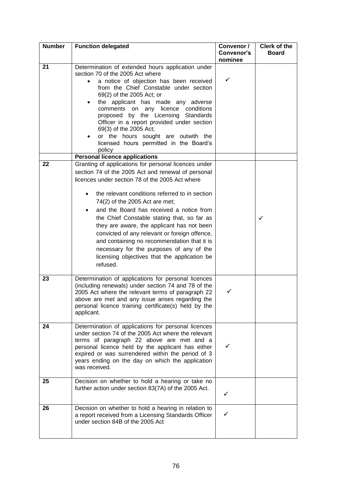| <b>Number</b> | <b>Function delegated</b>                                                                                                                                                                                                                                                                                                                                                                                                                                                                                                                                                                                                                            | Convenor /<br><b>Convenor's</b><br>nominee | <b>Clerk of the</b><br><b>Board</b> |
|---------------|------------------------------------------------------------------------------------------------------------------------------------------------------------------------------------------------------------------------------------------------------------------------------------------------------------------------------------------------------------------------------------------------------------------------------------------------------------------------------------------------------------------------------------------------------------------------------------------------------------------------------------------------------|--------------------------------------------|-------------------------------------|
| 21<br>22      | Determination of extended hours application under<br>section 70 of the 2005 Act where<br>a notice of objection has been received<br>from the Chief Constable under section<br>69(2) of the 2005 Act; or<br>the applicant has made any adverse<br>comments on any licence conditions<br>proposed by the Licensing Standards<br>Officer in a report provided under section<br>69(3) of the 2005 Act;<br>or the hours sought are outwith the<br>licensed hours permitted in the Board's<br>policy<br><b>Personal licence applications</b><br>Granting of applications for personal licences under<br>section 74 of the 2005 Act and renewal of personal | ✓                                          |                                     |
|               | licences under section 78 of the 2005 Act where<br>the relevant conditions referred to in section<br>74(2) of the 2005 Act are met;<br>and the Board has received a notice from<br>the Chief Constable stating that, so far as<br>they are aware, the applicant has not been<br>convicted of any relevant or foreign offence,<br>and containing no recommendation that it is<br>necessary for the purposes of any of the<br>licensing objectives that the application be<br>refused.                                                                                                                                                                 |                                            | ✓                                   |
| 23            | Determination of applications for personal licences<br>(including renewals) under section 74 and 78 of the<br>2005 Act where the relevant terms of paragraph 22<br>above are met and any issue arises regarding the<br>personal licence training certificate(s) held by the<br>applicant.                                                                                                                                                                                                                                                                                                                                                            |                                            |                                     |
| 24            | Determination of applications for personal licences<br>under section 74 of the 2005 Act where the relevant<br>terms of paragraph 22 above are met and a<br>personal licence held by the applicant has either<br>expired or was surrendered within the period of 3<br>years ending on the day on which the application<br>was received.                                                                                                                                                                                                                                                                                                               | ✓                                          |                                     |
| 25            | Decision on whether to hold a hearing or take no<br>further action under section 83(7A) of the 2005 Act.                                                                                                                                                                                                                                                                                                                                                                                                                                                                                                                                             | ✓                                          |                                     |
| 26            | Decision on whether to hold a hearing in relation to<br>a report received from a Licensing Standards Officer<br>under section 84B of the 2005 Act                                                                                                                                                                                                                                                                                                                                                                                                                                                                                                    | ✓                                          |                                     |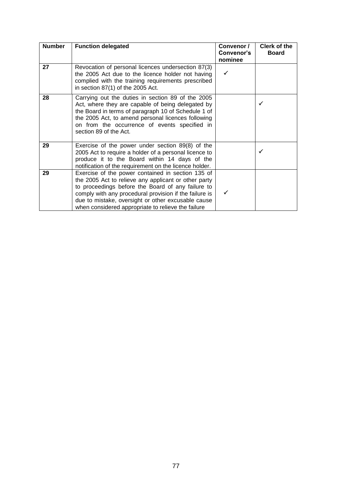| <b>Number</b> | <b>Function delegated</b>                                                                                                                                                                                                                                                                                                            | Convenor /<br>Convenor's<br>nominee | <b>Clerk of the</b><br><b>Board</b> |
|---------------|--------------------------------------------------------------------------------------------------------------------------------------------------------------------------------------------------------------------------------------------------------------------------------------------------------------------------------------|-------------------------------------|-------------------------------------|
| 27            | Revocation of personal licences undersection 87(3)<br>the 2005 Act due to the licence holder not having<br>complied with the training requirements prescribed<br>in section 87(1) of the 2005 Act.                                                                                                                                   | ✓                                   |                                     |
| 28            | Carrying out the duties in section 89 of the 2005<br>Act, where they are capable of being delegated by<br>the Board in terms of paragraph 10 of Schedule 1 of<br>the 2005 Act, to amend personal licences following<br>on from the occurrence of events specified in<br>section 89 of the Act.                                       |                                     | ✓                                   |
| 29            | Exercise of the power under section 89(8) of the<br>2005 Act to require a holder of a personal licence to<br>produce it to the Board within 14 days of the<br>notification of the requirement on the licence holder.                                                                                                                 |                                     |                                     |
| 29            | Exercise of the power contained in section 135 of<br>the 2005 Act to relieve any applicant or other party<br>to proceedings before the Board of any failure to<br>comply with any procedural provision if the failure is<br>due to mistake, oversight or other excusable cause<br>when considered appropriate to relieve the failure |                                     |                                     |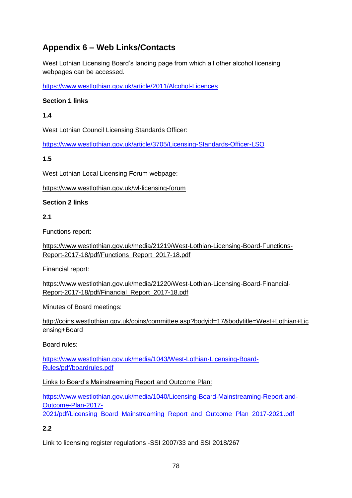## **Appendix 6 – Web Links/Contacts**

West Lothian Licensing Board's landing page from which all other alcohol licensing webpages can be accessed.

<https://www.westlothian.gov.uk/article/2011/Alcohol-Licences>

#### **Section 1 links**

#### **1.4**

West Lothian Council Licensing Standards Officer:

<https://www.westlothian.gov.uk/article/3705/Licensing-Standards-Officer-LSO>

#### **1.5**

West Lothian Local Licensing Forum webpage:

<https://www.westlothian.gov.uk/wl-licensing-forum>

#### **Section 2 links**

#### **2.1**

Functions report:

[https://www.westlothian.gov.uk/media/21219/West-Lothian-Licensing-Board-Functions-](https://www.westlothian.gov.uk/media/21219/West-Lothian-Licensing-Board-Functions-Report-2017-18/pdf/Functions_Report_2017-18.pdf)[Report-2017-18/pdf/Functions\\_Report\\_2017-18.pdf](https://www.westlothian.gov.uk/media/21219/West-Lothian-Licensing-Board-Functions-Report-2017-18/pdf/Functions_Report_2017-18.pdf)

Financial report:

[https://www.westlothian.gov.uk/media/21220/West-Lothian-Licensing-Board-Financial-](https://www.westlothian.gov.uk/media/21220/West-Lothian-Licensing-Board-Financial-Report-2017-18/pdf/Financial_Report_2017-18.pdf)[Report-2017-18/pdf/Financial\\_Report\\_2017-18.pdf](https://www.westlothian.gov.uk/media/21220/West-Lothian-Licensing-Board-Financial-Report-2017-18/pdf/Financial_Report_2017-18.pdf) 

Minutes of Board meetings:

[http://coins.westlothian.gov.uk/coins/committee.asp?bodyid=17&bodytitle=West+Lothian+Lic](http://coins.westlothian.gov.uk/coins/committee.asp?bodyid=17&bodytitle=West+Lothian+Licensing+Board) [ensing+Board](http://coins.westlothian.gov.uk/coins/committee.asp?bodyid=17&bodytitle=West+Lothian+Licensing+Board)

Board rules:

[https://www.westlothian.gov.uk/media/1043/West-Lothian-Licensing-Board-](https://www.westlothian.gov.uk/media/1043/West-Lothian-Licensing-Board-Rules/pdf/boardrules.pdf)[Rules/pdf/boardrules.pdf](https://www.westlothian.gov.uk/media/1043/West-Lothian-Licensing-Board-Rules/pdf/boardrules.pdf)

Links to Board's Mainstreaming Report and Outcome Plan:

[https://www.westlothian.gov.uk/media/1040/Licensing-Board-Mainstreaming-Report-and-](https://www.westlothian.gov.uk/media/1040/Licensing-Board-Mainstreaming-Report-and-Outcome-Plan-2017-2021/pdf/Licensing_Board_Mainstreaming_Report_and_Outcome_Plan_2017-2021.pdf)[Outcome-Plan-2017-](https://www.westlothian.gov.uk/media/1040/Licensing-Board-Mainstreaming-Report-and-Outcome-Plan-2017-2021/pdf/Licensing_Board_Mainstreaming_Report_and_Outcome_Plan_2017-2021.pdf)

[2021/pdf/Licensing\\_Board\\_Mainstreaming\\_Report\\_and\\_Outcome\\_Plan\\_2017-2021.pdf](https://www.westlothian.gov.uk/media/1040/Licensing-Board-Mainstreaming-Report-and-Outcome-Plan-2017-2021/pdf/Licensing_Board_Mainstreaming_Report_and_Outcome_Plan_2017-2021.pdf)

## **2.2**

Link to licensing register regulations -SSI 2007/33 and SSI 2018/267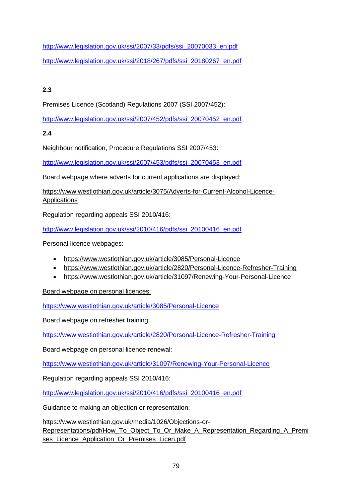[http://www.legislation.gov.uk/ssi/2007/33/pdfs/ssi\\_20070033\\_en.pdf](http://www.legislation.gov.uk/ssi/2007/33/pdfs/ssi_20070033_en.pdf) [http://www.legislation.gov.uk/ssi/2018/267/pdfs/ssi\\_20180267\\_en.pdf](http://www.legislation.gov.uk/ssi/2018/267/pdfs/ssi_20180267_en.pdf)

## **2.3**

Premises Licence (Scotland) Regulations 2007 (SSI 2007/452):

[http://www.legislation.gov.uk/ssi/2007/452/pdfs/ssi\\_20070452\\_en.pdf](http://www.legislation.gov.uk/ssi/2007/452/pdfs/ssi_20070452_en.pdf)

## **2.4**

Neighbour notification, Procedure Regulations SSI 2007/453:

[http://www.legislation.gov.uk/ssi/2007/453/pdfs/ssi\\_20070453\\_en.pdf](http://www.legislation.gov.uk/ssi/2007/453/pdfs/ssi_20070453_en.pdf)

Board webpage where adverts for current applications are displayed:

[https://www.westlothian.gov.uk/article/3075/Adverts-for-Current-Alcohol-Licence-](https://www.westlothian.gov.uk/article/3075/Adverts-for-Current-Alcohol-Licence-Applications)[Applications](https://www.westlothian.gov.uk/article/3075/Adverts-for-Current-Alcohol-Licence-Applications)

Regulation regarding appeals SSI 2010/416:

[http://www.legislation.gov.uk/ssi/2010/416/pdfs/ssi\\_20100416\\_en.pdf](http://www.legislation.gov.uk/ssi/2010/416/pdfs/ssi_20100416_en.pdf)

Personal licence webpages:

- <https://www.westlothian.gov.uk/article/3085/Personal-Licence>
- <https://www.westlothian.gov.uk/article/2820/Personal-Licence-Refresher-Training>
- <https://www.westlothian.gov.uk/article/31097/Renewing-Your-Personal-Licence>

Board webpage on personal licences:

<https://www.westlothian.gov.uk/article/3085/Personal-Licence>

Board webpage on refresher training:

<https://www.westlothian.gov.uk/article/2820/Personal-Licence-Refresher-Training>

Board webpage on personal licence renewal:

<https://www.westlothian.gov.uk/article/31097/Renewing-Your-Personal-Licence>

Regulation regarding appeals SSI 2010/416:

[http://www.legislation.gov.uk/ssi/2010/416/pdfs/ssi\\_20100416\\_en.pdf](http://www.legislation.gov.uk/ssi/2010/416/pdfs/ssi_20100416_en.pdf)

Guidance to making an objection or representation:

[https://www.westlothian.gov.uk/media/1026/Objections-or-](https://www.westlothian.gov.uk/media/1026/Objections-or-Representations/pdf/How_To_Object_To_Or_Make_A_Representation_Regarding_A_Premises_Licence_Application_Or_Premises_Licen.pdf)[Representations/pdf/How\\_To\\_Object\\_To\\_Or\\_Make\\_A\\_Representation\\_Regarding\\_A\\_Premi](https://www.westlothian.gov.uk/media/1026/Objections-or-Representations/pdf/How_To_Object_To_Or_Make_A_Representation_Regarding_A_Premises_Licence_Application_Or_Premises_Licen.pdf) [ses\\_Licence\\_Application\\_Or\\_Premises\\_Licen.pdf](https://www.westlothian.gov.uk/media/1026/Objections-or-Representations/pdf/How_To_Object_To_Or_Make_A_Representation_Regarding_A_Premises_Licence_Application_Or_Premises_Licen.pdf)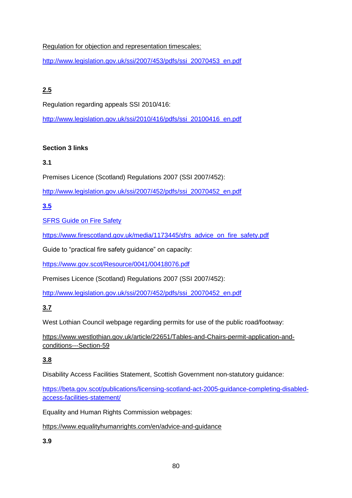Regulation for objection and representation timescales:

[http://www.legislation.gov.uk/ssi/2007/453/pdfs/ssi\\_20070453\\_en.pdf](http://www.legislation.gov.uk/ssi/2007/453/pdfs/ssi_20070453_en.pdf)

## **2.5**

Regulation regarding appeals SSI 2010/416:

[http://www.legislation.gov.uk/ssi/2010/416/pdfs/ssi\\_20100416\\_en.pdf](http://www.legislation.gov.uk/ssi/2010/416/pdfs/ssi_20100416_en.pdf)

## **Section 3 links**

## **3.1**

Premises Licence (Scotland) Regulations 2007 (SSI 2007/452):

[http://www.legislation.gov.uk/ssi/2007/452/pdfs/ssi\\_20070452\\_en.pdf](http://www.legislation.gov.uk/ssi/2007/452/pdfs/ssi_20070452_en.pdf)

## **3.5**

SFRS Guide on Fire Safety

[https://www.firescotland.gov.uk/media/1173445/sfrs\\_advice\\_on\\_fire\\_safety.pdf](https://www.firescotland.gov.uk/media/1173445/sfrs_advice_on_fire_safety.pdf)

Guide to "practical fire safety guidance" on capacity:

<https://www.gov.scot/Resource/0041/00418076.pdf>

Premises Licence (Scotland) Regulations 2007 (SSI 2007/452):

[http://www.legislation.gov.uk/ssi/2007/452/pdfs/ssi\\_20070452\\_en.pdf](http://www.legislation.gov.uk/ssi/2007/452/pdfs/ssi_20070452_en.pdf)

## **3.7**

West Lothian Council webpage regarding permits for use of the public road/footway:

[https://www.westlothian.gov.uk/article/22651/Tables-and-Chairs-permit-application-and](https://www.westlothian.gov.uk/article/22651/Tables-and-Chairs-permit-application-and-conditions---Section-59)[conditions---Section-59](https://www.westlothian.gov.uk/article/22651/Tables-and-Chairs-permit-application-and-conditions---Section-59)

## **3.8**

[Disability Access Facilities Statement, Scottish Government](http://www.gov.scot/Publications/2018/03/2767) non-statutory guidance:

[https://beta.gov.scot/publications/licensing-scotland-act-2005-guidance-completing-disabled](https://beta.gov.scot/publications/licensing-scotland-act-2005-guidance-completing-disabled-access-facilities-statement/)[access-facilities-statement/](https://beta.gov.scot/publications/licensing-scotland-act-2005-guidance-completing-disabled-access-facilities-statement/)

Equality and Human Rights Commission webpages:

<https://www.equalityhumanrights.com/en/advice-and-guidance>

## **3.9**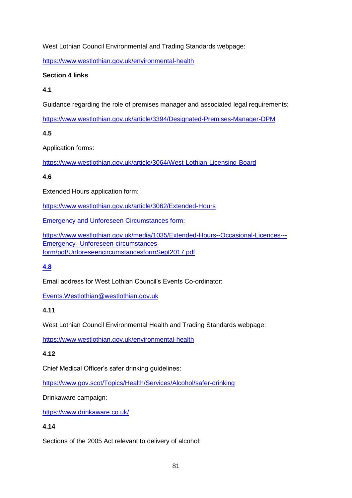West Lothian Council Environmental and Trading Standards webpage:

<https://www.westlothian.gov.uk/environmental-health>

#### **Section 4 links**

#### **4.1**

Guidance regarding the role of premises manager and associated legal requirements:

<https://www.westlothian.gov.uk/article/3394/Designated-Premises-Manager-DPM>

**4.5** 

Application forms:

<https://www.westlothian.gov.uk/article/3064/West-Lothian-Licensing-Board>

## **4.6**

Extended Hours application form:

<https://www.westlothian.gov.uk/article/3062/Extended-Hours>

Emergency and Unforeseen Circumstances form:

[https://www.westlothian.gov.uk/media/1035/Extended-Hours--Occasional-Licences---](https://www.westlothian.gov.uk/media/1035/Extended-Hours--Occasional-Licences---Emergency--Unforeseen-circumstances-form/pdf/UnforeseencircumstancesformSept2017.pdf) [Emergency--Unforeseen-circumstances](https://www.westlothian.gov.uk/media/1035/Extended-Hours--Occasional-Licences---Emergency--Unforeseen-circumstances-form/pdf/UnforeseencircumstancesformSept2017.pdf)[form/pdf/UnforeseencircumstancesformSept2017.pdf](https://www.westlothian.gov.uk/media/1035/Extended-Hours--Occasional-Licences---Emergency--Unforeseen-circumstances-form/pdf/UnforeseencircumstancesformSept2017.pdf)

## **4.8**

Email address for West Lothian Council's Events Co-ordinator:

[Events.Westlothian@westlothian.gov.uk](mailto:Events.Westlothian@westlothian.gov.uk)

## **4.11**

West Lothian Council Environmental Health and Trading Standards webpage:

<https://www.westlothian.gov.uk/environmental-health>

## **4.12**

Chief Medical Officer's safer drinking guidelines:

<https://www.gov.scot/Topics/Health/Services/Alcohol/safer-drinking>

Drinkaware campaign:

<https://www.drinkaware.co.uk/>

## **4.14**

Sections of the 2005 Act relevant to delivery of alcohol: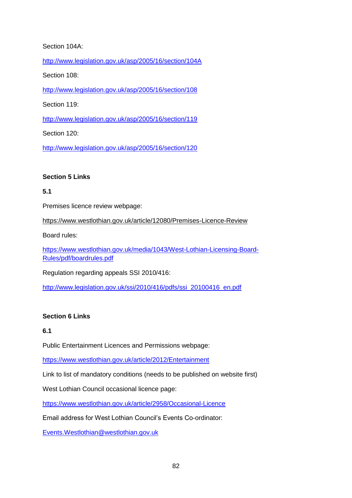#### Section 104A:

<http://www.legislation.gov.uk/asp/2005/16/section/104A>

Section 108:

<http://www.legislation.gov.uk/asp/2005/16/section/108>

Section 119:

<http://www.legislation.gov.uk/asp/2005/16/section/119>

Section 120:

<http://www.legislation.gov.uk/asp/2005/16/section/120>

#### **Section 5 Links**

#### **5.1**

Premises licence review webpage:

<https://www.westlothian.gov.uk/article/12080/Premises-Licence-Review>

Board rules:

[https://www.westlothian.gov.uk/media/1043/West-Lothian-Licensing-Board-](https://www.westlothian.gov.uk/media/1043/West-Lothian-Licensing-Board-Rules/pdf/boardrules.pdf)[Rules/pdf/boardrules.pdf](https://www.westlothian.gov.uk/media/1043/West-Lothian-Licensing-Board-Rules/pdf/boardrules.pdf)

Regulation regarding appeals SSI 2010/416:

[http://www.legislation.gov.uk/ssi/2010/416/pdfs/ssi\\_20100416\\_en.pdf](http://www.legislation.gov.uk/ssi/2010/416/pdfs/ssi_20100416_en.pdf)

#### **Section 6 Links**

#### **6.1**

Public Entertainment Licences and Permissions webpage:

<https://www.westlothian.gov.uk/article/2012/Entertainment>

Link to list of mandatory conditions (needs to be published on website first)

West Lothian Council occasional licence page:

<https://www.westlothian.gov.uk/article/2958/Occasional-Licence>

Email address for West Lothian Council's Events Co-ordinator:

[Events.Westlothian@westlothian.gov.uk](mailto:Events.Westlothian@westlothian.gov.uk)